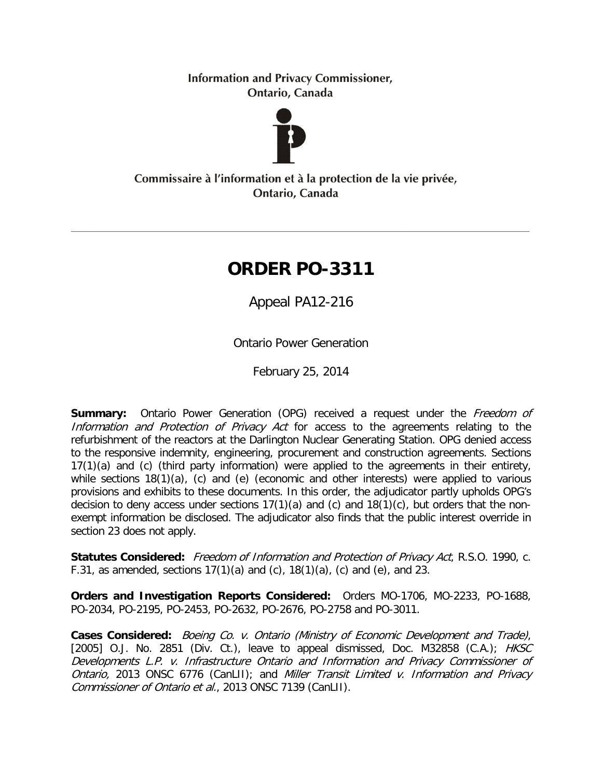**Information and Privacy Commissioner,** Ontario, Canada



## Commissaire à l'information et à la protection de la vie privée, Ontario, Canada

# **ORDER PO-3311**

Appeal PA12-216

Ontario Power Generation

February 25, 2014

**Summary:** Ontario Power Generation (OPG) received a request under the Freedom of Information and Protection of Privacy Act for access to the agreements relating to the refurbishment of the reactors at the Darlington Nuclear Generating Station. OPG denied access to the responsive indemnity, engineering, procurement and construction agreements. Sections 17(1)(a) and (c) (third party information) were applied to the agreements in their entirety, while sections 18(1)(a), (c) and (e) (economic and other interests) were applied to various provisions and exhibits to these documents. In this order, the adjudicator partly upholds OPG's decision to deny access under sections  $17(1)(a)$  and  $(c)$  and  $18(1)(c)$ , but orders that the nonexempt information be disclosed. The adjudicator also finds that the public interest override in section 23 does not apply.

**Statutes Considered:** Freedom of Information and Protection of Privacy Act, R.S.O. 1990, c. F.31, as amended, sections  $17(1)(a)$  and  $(c)$ ,  $18(1)(a)$ ,  $(c)$  and  $(e)$ , and 23.

**Orders and Investigation Reports Considered:** Orders MO-1706, MO-2233, PO-1688, PO-2034, PO-2195, PO-2453, PO-2632, PO-2676, PO-2758 and PO-3011.

**Cases Considered:** Boeing Co. v. Ontario (Ministry of Economic Development and Trade), [2005] O.J. No. 2851 (Div. Ct.), leave to appeal dismissed, Doc. M32858 (C.A.);  $HKSC$ Developments L.P. v. Infrastructure Ontario and Information and Privacy Commissioner of Ontario, 2013 ONSC 6776 (CanLII); and Miller Transit Limited v. Information and Privacy Commissioner of Ontario et al., 2013 ONSC 7139 (CanLII).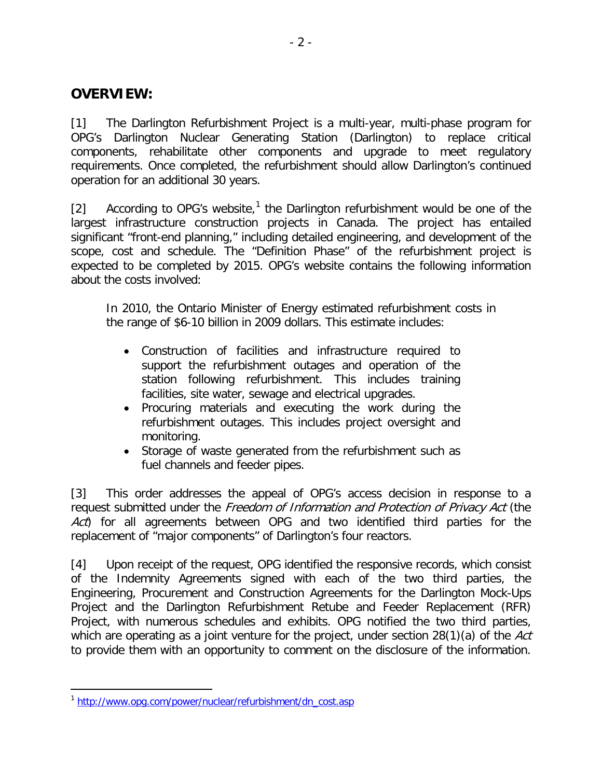## **OVERVIEW:**

[1] The Darlington Refurbishment Project is a multi-year, multi-phase program for OPG's Darlington Nuclear Generating Station (Darlington) to replace critical components, rehabilitate other components and upgrade to meet regulatory requirements. Once completed, the refurbishment should allow Darlington's continued operation for an additional 30 years.

[2] According to OPG's website,<sup>[1](#page-1-0)</sup> the Darlington refurbishment would be one of the largest infrastructure construction projects in Canada. The project has entailed significant "front-end planning," including detailed engineering, and development of the scope, cost and schedule. The "Definition Phase" of the refurbishment project is expected to be completed by 2015. OPG's website contains the following information about the costs involved:

In 2010, the Ontario Minister of Energy estimated refurbishment costs in the range of \$6-10 billion in 2009 dollars. This estimate includes:

- Construction of facilities and infrastructure required to support the refurbishment outages and operation of the station following refurbishment. This includes training facilities, site water, sewage and electrical upgrades.
- Procuring materials and executing the work during the refurbishment outages. This includes project oversight and monitoring.
- Storage of waste generated from the refurbishment such as fuel channels and feeder pipes.

[3] This order addresses the appeal of OPG's access decision in response to a request submitted under the Freedom of Information and Protection of Privacy Act (the Act) for all agreements between OPG and two identified third parties for the replacement of "major components" of Darlington's four reactors.

[4] Upon receipt of the request, OPG identified the responsive records, which consist of the Indemnity Agreements signed with each of the two third parties, the Engineering, Procurement and Construction Agreements for the Darlington Mock-Ups Project and the Darlington Refurbishment Retube and Feeder Replacement (RFR) Project, with numerous schedules and exhibits. OPG notified the two third parties, which are operating as a joint venture for the project, under section  $28(1)(a)$  of the Act to provide them with an opportunity to comment on the disclosure of the information.

<span id="page-1-0"></span><sup>&</sup>lt;sup>1</sup> [http://www.opg.com/power/nuclear/refurbishment/dn\\_cost.asp](http://www.opg.com/power/nuclear/refurbishment/dn_cost.asp)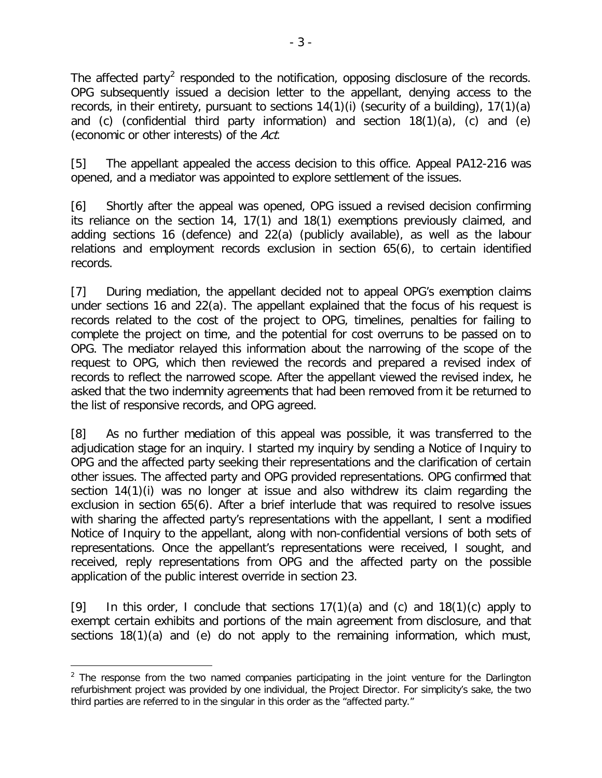The affected party<sup>[2](#page-2-0)</sup> responded to the notification, opposing disclosure of the records. OPG subsequently issued a decision letter to the appellant, denying access to the records, in their entirety, pursuant to sections 14(1)(i) (security of a building), 17(1)(a) and (c) (confidential third party information) and section 18(1)(a), (c) and (e) (economic or other interests) of the Act.

[5] The appellant appealed the access decision to this office. Appeal PA12-216 was opened, and a mediator was appointed to explore settlement of the issues.

[6] Shortly after the appeal was opened, OPG issued a revised decision confirming its reliance on the section 14, 17(1) and 18(1) exemptions previously claimed, and adding sections 16 (defence) and 22(a) (publicly available), as well as the labour relations and employment records exclusion in section 65(6), to certain identified records.

[7] During mediation, the appellant decided not to appeal OPG's exemption claims under sections 16 and 22(a). The appellant explained that the focus of his request is records related to the cost of the project to OPG, timelines, penalties for failing to complete the project on time, and the potential for cost overruns to be passed on to OPG. The mediator relayed this information about the narrowing of the scope of the request to OPG, which then reviewed the records and prepared a revised index of records to reflect the narrowed scope. After the appellant viewed the revised index, he asked that the two indemnity agreements that had been removed from it be returned to the list of responsive records, and OPG agreed.

[8] As no further mediation of this appeal was possible, it was transferred to the adjudication stage for an inquiry. I started my inquiry by sending a Notice of Inquiry to OPG and the affected party seeking their representations and the clarification of certain other issues. The affected party and OPG provided representations. OPG confirmed that section 14(1)(i) was no longer at issue and also withdrew its claim regarding the exclusion in section 65(6). After a brief interlude that was required to resolve issues with sharing the affected party's representations with the appellant, I sent a modified Notice of Inquiry to the appellant, along with non-confidential versions of both sets of representations. Once the appellant's representations were received, I sought, and received, reply representations from OPG and the affected party on the possible application of the public interest override in section 23.

[9] In this order, I conclude that sections  $17(1)(a)$  and  $(c)$  and  $18(1)(c)$  apply to exempt certain exhibits and portions of the main agreement from disclosure, and that sections 18(1)(a) and (e) do not apply to the remaining information, which must,

<span id="page-2-0"></span> $<sup>2</sup>$  The response from the two named companies participating in the joint venture for the Darlington</sup> refurbishment project was provided by one individual, the Project Director. For simplicity's sake, the two third parties are referred to in the singular in this order as the "affected party."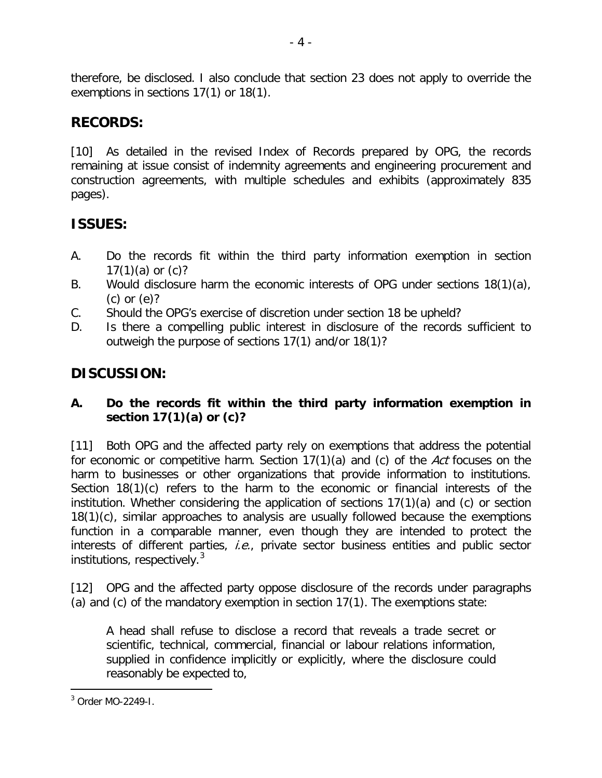therefore, be disclosed. I also conclude that section 23 does not apply to override the exemptions in sections 17(1) or 18(1).

## **RECORDS:**

[10] As detailed in the revised Index of Records prepared by OPG, the records remaining at issue consist of indemnity agreements and engineering procurement and construction agreements, with multiple schedules and exhibits (approximately 835 pages).

## **ISSUES:**

- A. Do the records fit within the third party information exemption in section 17 $(1)(a)$  or  $(c)?$
- B. Would disclosure harm the economic interests of OPG under sections 18(1)(a), (c) or (e)?
- C. Should the OPG's exercise of discretion under section 18 be upheld?
- D. Is there a compelling public interest in disclosure of the records sufficient to outweigh the purpose of sections 17(1) and/or 18(1)?

## **DISCUSSION:**

## **A. Do the records fit within the third party information exemption in section 17(1)(a) or (c)?**

[11] Both OPG and the affected party rely on exemptions that address the potential for economic or competitive harm. Section 17(1)(a) and (c) of the Act focuses on the harm to businesses or other organizations that provide information to institutions. Section 18(1)(c) refers to the harm to the economic or financial interests of the institution. Whether considering the application of sections 17(1)(a) and (c) or section 18(1)(c), similar approaches to analysis are usually followed because the exemptions function in a comparable manner, even though they are intended to protect the interests of different parties, *i.e.*, private sector business entities and public sector institutions, respectively.<sup>[3](#page-3-0)</sup>

[12] OPG and the affected party oppose disclosure of the records under paragraphs (a) and (c) of the mandatory exemption in section 17(1). The exemptions state:

A head shall refuse to disclose a record that reveals a trade secret or scientific, technical, commercial, financial or labour relations information, supplied in confidence implicitly or explicitly, where the disclosure could reasonably be expected to,

<span id="page-3-0"></span><sup>3</sup> Order MO-2249-I.  $\overline{a}$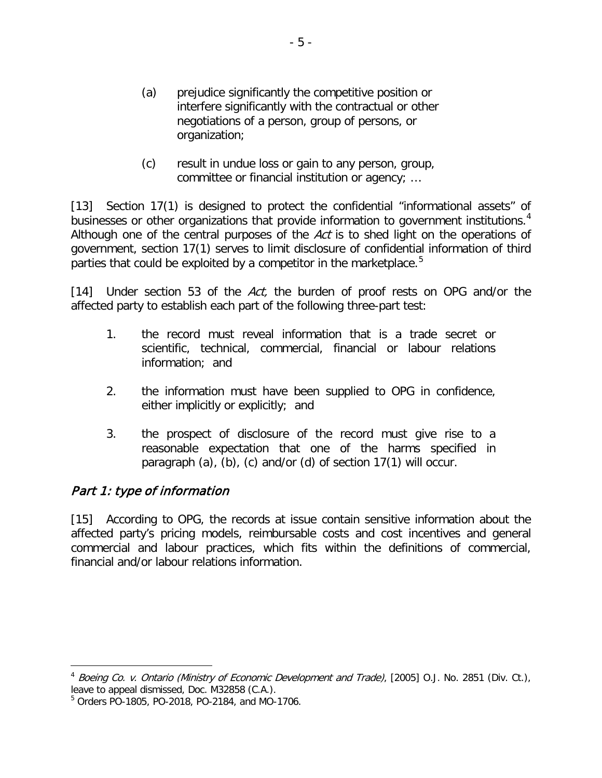- (a) prejudice significantly the competitive position or interfere significantly with the contractual or other negotiations of a person, group of persons, or organization;
- (c) result in undue loss or gain to any person, group, committee or financial institution or agency; …

[13] Section 17(1) is designed to protect the confidential "informational assets" of businesses or other organizations that provide information to government institutions.<sup>[4](#page-4-0)</sup> Although one of the central purposes of the Act is to shed light on the operations of government, section 17(1) serves to limit disclosure of confidential information of third parties that could be exploited by a competitor in the marketplace.<sup>[5](#page-4-1)</sup>

[14] Under section 53 of the Act, the burden of proof rests on OPG and/or the affected party to establish each part of the following three-part test:

- 1. the record must reveal information that is a trade secret or scientific, technical, commercial, financial or labour relations information; and
- 2. the information must have been supplied to OPG in confidence, either implicitly or explicitly; and
- 3. the prospect of disclosure of the record must give rise to a reasonable expectation that one of the harms specified in paragraph (a), (b), (c) and/or (d) of section 17(1) will occur.

## Part 1: type of information

 $\overline{a}$ 

[15] According to OPG, the records at issue contain sensitive information about the affected party's pricing models, reimbursable costs and cost incentives and general commercial and labour practices, which fits within the definitions of commercial, financial and/or labour relations information.

<span id="page-4-0"></span><sup>&</sup>lt;sup>4</sup> Boeing Co. v. Ontario (Ministry of Economic Development and Trade), [2005] O.J. No. 2851 (Div. Ct.), leave to appeal dismissed, Doc. M32858 (C.A.).

<span id="page-4-1"></span><sup>5</sup> Orders PO-1805, PO-2018, PO-2184, and MO-1706.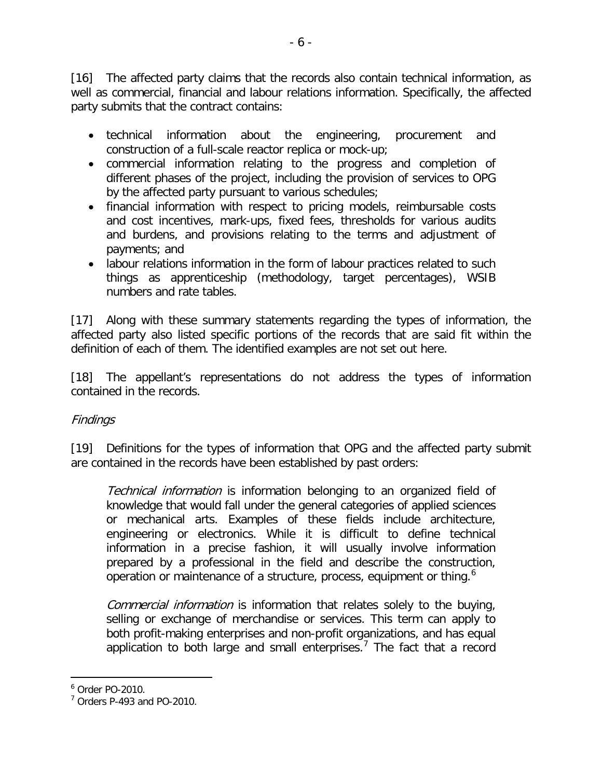[16] The affected party claims that the records also contain technical information, as well as commercial, financial and labour relations information. Specifically, the affected party submits that the contract contains:

- technical information about the engineering, procurement and construction of a full-scale reactor replica or mock-up;
- commercial information relating to the progress and completion of different phases of the project, including the provision of services to OPG by the affected party pursuant to various schedules;
- financial information with respect to pricing models, reimbursable costs and cost incentives, mark-ups, fixed fees, thresholds for various audits and burdens, and provisions relating to the terms and adjustment of payments; and
- labour relations information in the form of labour practices related to such things as apprenticeship (methodology, target percentages), WSIB numbers and rate tables.

[17] Along with these summary statements regarding the types of information, the affected party also listed specific portions of the records that are said fit within the definition of each of them. The identified examples are not set out here.

[18] The appellant's representations do not address the types of information contained in the records.

### Findings

[19] Definitions for the types of information that OPG and the affected party submit are contained in the records have been established by past orders:

Technical information is information belonging to an organized field of knowledge that would fall under the general categories of applied sciences or mechanical arts. Examples of these fields include architecture, engineering or electronics. While it is difficult to define technical information in a precise fashion, it will usually involve information prepared by a professional in the field and describe the construction, operation or maintenance of a structure, process, equipment or thing.<sup>[6](#page-5-0)</sup>

Commercial information is information that relates solely to the buying, selling or exchange of merchandise or services. This term can apply to both profit-making enterprises and non-profit organizations, and has equal application to both large and small enterprises.<sup>[7](#page-5-1)</sup> The fact that a record

<span id="page-5-0"></span><sup>6</sup> Order PO-2010.

<span id="page-5-1"></span> $7$  Orders P-493 and PO-2010.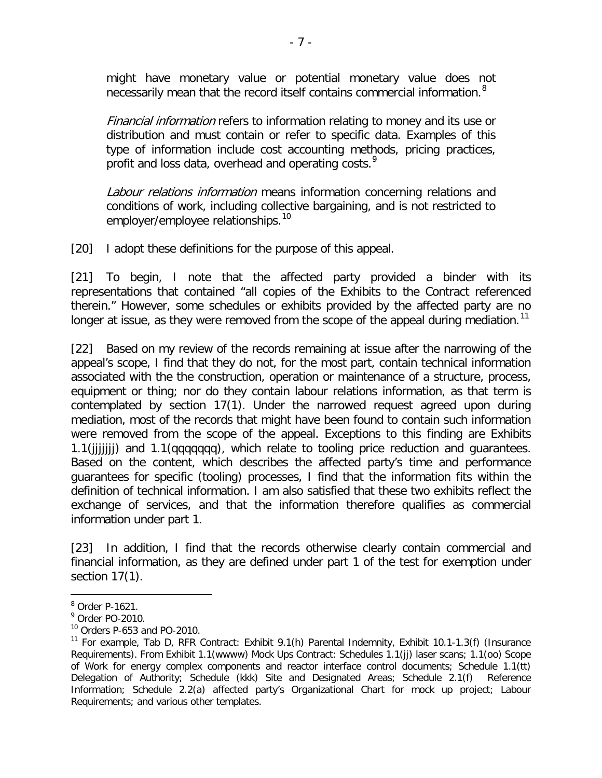might have monetary value or potential monetary value does not necessarily mean that the record itself contains commercial information.<sup>[8](#page-6-0)</sup>

Financial information refers to information relating to money and its use or distribution and must contain or refer to specific data. Examples of this type of information include cost accounting methods, pricing practices, profit and loss data, overhead and operating costs.<sup>[9](#page-6-1)</sup>

Labour relations information means information concerning relations and conditions of work, including collective bargaining, and is not restricted to employer/employee relationships.<sup>[10](#page-6-2)</sup>

[20] I adopt these definitions for the purpose of this appeal.

[21] To begin, I note that the affected party provided a binder with its representations that contained "all copies of the Exhibits to the Contract referenced therein." However, some schedules or exhibits provided by the affected party are no longer at issue, as they were removed from the scope of the appeal during mediation.<sup>[11](#page-6-3)</sup>

[22] Based on my review of the records remaining at issue after the narrowing of the appeal's scope, I find that they do not, for the most part, contain technical information associated with the the construction, operation or maintenance of a structure, process, equipment or thing; nor do they contain labour relations information, as that term is contemplated by section 17(1). Under the narrowed request agreed upon during mediation, most of the records that might have been found to contain such information were removed from the scope of the appeal. Exceptions to this finding are Exhibits 1.1(jjjjjjj) and 1.1(qqqqqqq), which relate to tooling price reduction and guarantees. Based on the content, which describes the affected party's time and performance guarantees for specific (tooling) processes, I find that the information fits within the definition of technical information. I am also satisfied that these two exhibits reflect the exchange of services, and that the information therefore qualifies as commercial information under part 1.

[23] In addition, I find that the records otherwise clearly contain commercial and financial information, as they are defined under part 1 of the test for exemption under section 17(1).

<span id="page-6-0"></span><sup>8</sup> Order P-1621.

<span id="page-6-1"></span><sup>9</sup> Order PO-2010.

<span id="page-6-2"></span><sup>10</sup> Orders P-653 and PO-2010.

<span id="page-6-3"></span><sup>11</sup> For example, Tab D, RFR Contract: Exhibit 9.1(h) Parental Indemnity, Exhibit 10.1-1.3(f) (Insurance Requirements). From Exhibit 1.1(wwww) Mock Ups Contract: Schedules 1.1(jj) laser scans; 1.1(oo) Scope of Work for energy complex components and reactor interface control documents; Schedule 1.1(tt) Delegation of Authority; Schedule (kkk) Site and Designated Areas; Schedule 2.1(f) Reference Information; Schedule 2.2(a) affected party's Organizational Chart for mock up project; Labour Requirements; and various other templates.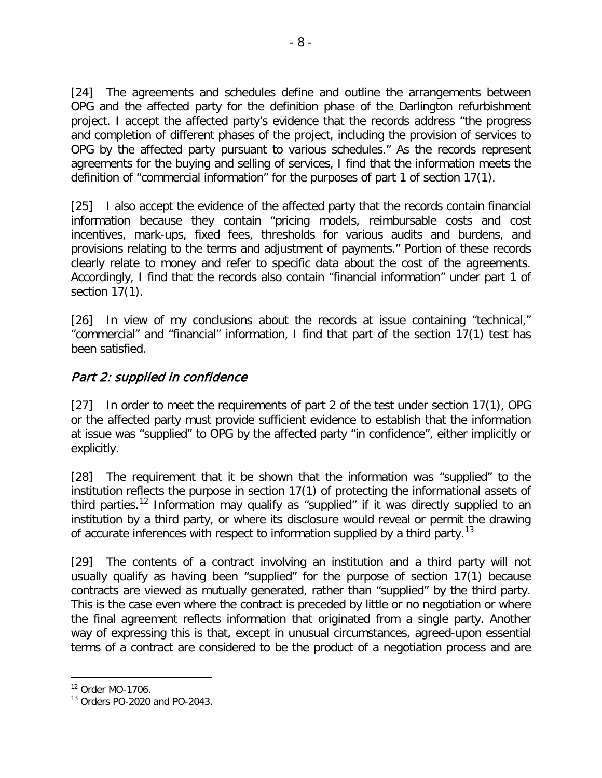[24] The agreements and schedules define and outline the arrangements between OPG and the affected party for the definition phase of the Darlington refurbishment project. I accept the affected party's evidence that the records address "the progress and completion of different phases of the project, including the provision of services to OPG by the affected party pursuant to various schedules." As the records represent agreements for the buying and selling of services, I find that the information meets the definition of "commercial information" for the purposes of part 1 of section 17(1).

[25] I also accept the evidence of the affected party that the records contain financial information because they contain "pricing models, reimbursable costs and cost incentives, mark-ups, fixed fees, thresholds for various audits and burdens, and provisions relating to the terms and adjustment of payments." Portion of these records clearly relate to money and refer to specific data about the cost of the agreements. Accordingly, I find that the records also contain "financial information" under part 1 of section 17(1).

[26] In view of my conclusions about the records at issue containing "technical," "commercial" and "financial" information, I find that part of the section 17(1) test has been satisfied.

## Part 2: supplied in confidence

[27] In order to meet the requirements of part 2 of the test under section 17(1), OPG or the affected party must provide sufficient evidence to establish that the information at issue was "supplied" to OPG by the affected party "in confidence", either implicitly or explicitly.

[28] The requirement that it be shown that the information was "supplied" to the institution reflects the purpose in section 17(1) of protecting the informational assets of third parties.<sup>[12](#page-7-0)</sup> Information may qualify as "supplied" if it was directly supplied to an institution by a third party, or where its disclosure would reveal or permit the drawing of accurate inferences with respect to information supplied by a third party.<sup>[13](#page-7-1)</sup>

[29] The contents of a contract involving an institution and a third party will not usually qualify as having been "supplied" for the purpose of section 17(1) because contracts are viewed as mutually generated, rather than "supplied" by the third party. This is the case even where the contract is preceded by little or no negotiation or where the final agreement reflects information that originated from a single party. Another way of expressing this is that, except in unusual circumstances, agreed-upon essential terms of a contract are considered to be the product of a negotiation process and are

<span id="page-7-0"></span><sup>12</sup> Order MO-1706.

<span id="page-7-1"></span><sup>13</sup> Orders PO-2020 and PO-2043.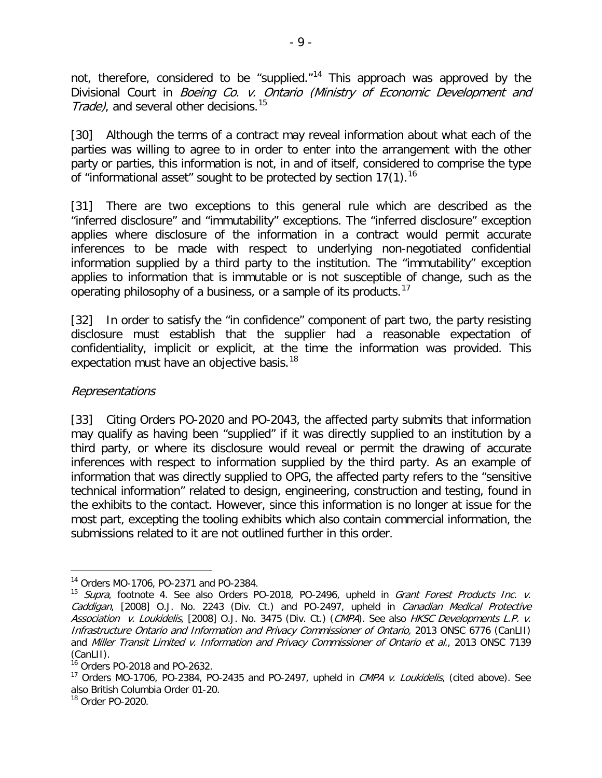not, therefore, considered to be "supplied."<sup>[14](#page-8-0)</sup> This approach was approved by the Divisional Court in Boeing Co. v. Ontario (Ministry of Economic Development and Trade), and several other decisions.<sup>[15](#page-8-1)</sup>

[30] Although the terms of a contract may reveal information about what each of the parties was willing to agree to in order to enter into the arrangement with the other party or parties, this information is not, in and of itself, considered to comprise the type of "informational asset" sought to be protected by section  $17(1)$ .<sup>[16](#page-8-2)</sup>

[31] There are two exceptions to this general rule which are described as the "inferred disclosure" and "immutability" exceptions. The "inferred disclosure" exception applies where disclosure of the information in a contract would permit accurate inferences to be made with respect to underlying non-negotiated confidential information supplied by a third party to the institution. The "immutability" exception applies to information that is immutable or is not susceptible of change, such as the operating philosophy of a business, or a sample of its products.<sup>[17](#page-8-3)</sup>

[32] In order to satisfy the "in confidence" component of part two, the party resisting disclosure must establish that the supplier had a reasonable expectation of confidentiality, implicit or explicit, at the time the information was provided. This expectation must have an objective basis.<sup>[18](#page-8-4)</sup>

#### Representations

[33] Citing Orders PO-2020 and PO-2043, the affected party submits that information may qualify as having been "supplied" if it was directly supplied to an institution by a third party, or where its disclosure would reveal or permit the drawing of accurate inferences with respect to information supplied by the third party. As an example of information that was directly supplied to OPG, the affected party refers to the "sensitive technical information" related to design, engineering, construction and testing, found in the exhibits to the contact. However, since this information is no longer at issue for the most part, excepting the tooling exhibits which also contain commercial information, the submissions related to it are not outlined further in this order.

<sup>14</sup> Orders MO-1706, PO-2371 and PO-2384.  $\overline{a}$ 

<span id="page-8-1"></span><span id="page-8-0"></span><sup>&</sup>lt;sup>15</sup> Supra, footnote 4. See also Orders PO-2018, PO-2496, upheld in *Grant Forest Products Inc. v.* Caddigan, [2008] O.J. No. 2243 (Div. Ct.) and PO-2497, upheld in Canadian Medical Protective Association v. Loukidelis, [2008] O.J. No. 3475 (Div. Ct.) (CMPA). See also HKSC Developments L.P. v. Infrastructure Ontario and Information and Privacy Commissioner of Ontario, 2013 ONSC 6776 (CanLII) and Miller Transit Limited v. Information and Privacy Commissioner of Ontario et al., 2013 ONSC 7139 (CanLII).

<span id="page-8-2"></span> $16$  Orders PO-2018 and PO-2632.

<span id="page-8-3"></span><sup>&</sup>lt;sup>17</sup> Orders MO-1706, PO-2384, PO-2435 and PO-2497, upheld in *CMPA v. Loukidelis*, (cited above). See also British Columbia Order 01-20.

<span id="page-8-4"></span><sup>18</sup> Order PO-2020.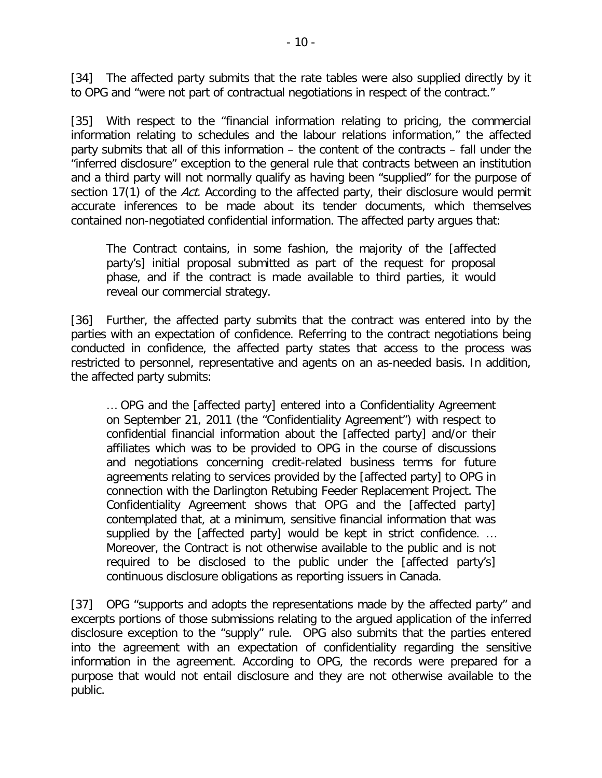[34] The affected party submits that the rate tables were also supplied directly by it to OPG and "were not part of contractual negotiations in respect of the contract."

[35] With respect to the "financial information relating to pricing, the commercial information relating to schedules and the labour relations information," the affected party submits that all of this information – the content of the contracts – fall under the "inferred disclosure" exception to the general rule that contracts between an institution and a third party will not normally qualify as having been "supplied" for the purpose of section 17(1) of the Act. According to the affected party, their disclosure would permit accurate inferences to be made about its tender documents, which themselves contained non-negotiated confidential information. The affected party argues that:

The Contract contains, in some fashion, the majority of the [affected party's] initial proposal submitted as part of the request for proposal phase, and if the contract is made available to third parties, it would reveal our commercial strategy.

[36] Further, the affected party submits that the contract was entered into by the parties with an expectation of confidence. Referring to the contract negotiations being conducted in confidence, the affected party states that access to the process was restricted to personnel, representative and agents on an as-needed basis. In addition, the affected party submits:

… OPG and the [affected party] entered into a Confidentiality Agreement on September 21, 2011 (the "Confidentiality Agreement") with respect to confidential financial information about the [affected party] and/or their affiliates which was to be provided to OPG in the course of discussions and negotiations concerning credit-related business terms for future agreements relating to services provided by the [affected party] to OPG in connection with the Darlington Retubing Feeder Replacement Project. The Confidentiality Agreement shows that OPG and the [affected party] contemplated that, at a minimum, sensitive financial information that was supplied by the [affected party] would be kept in strict confidence. … Moreover, the Contract is not otherwise available to the public and is not required to be disclosed to the public under the [affected party's] continuous disclosure obligations as reporting issuers in Canada.

[37] OPG "supports and adopts the representations made by the affected party" and excerpts portions of those submissions relating to the argued application of the inferred disclosure exception to the "supply" rule. OPG also submits that the parties entered into the agreement with an expectation of confidentiality regarding the sensitive information in the agreement. According to OPG, the records were prepared for a purpose that would not entail disclosure and they are not otherwise available to the public.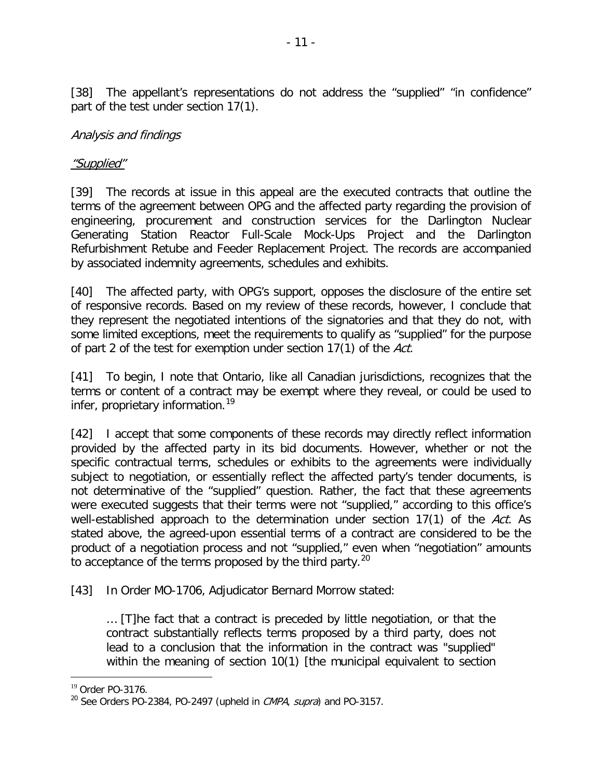[38] The appellant's representations do not address the "supplied" "in confidence" part of the test under section 17(1).

### Analysis and findings

#### "Supplied"

[39] The records at issue in this appeal are the executed contracts that outline the terms of the agreement between OPG and the affected party regarding the provision of engineering, procurement and construction services for the Darlington Nuclear Generating Station Reactor Full-Scale Mock-Ups Project and the Darlington Refurbishment Retube and Feeder Replacement Project. The records are accompanied by associated indemnity agreements, schedules and exhibits.

[40] The affected party, with OPG's support, opposes the disclosure of the entire set of responsive records. Based on my review of these records, however, I conclude that they represent the negotiated intentions of the signatories and that they do not, with some limited exceptions, meet the requirements to qualify as "supplied" for the purpose of part 2 of the test for exemption under section 17(1) of the Act.

[41] To begin, I note that Ontario, like all Canadian jurisdictions, recognizes that the terms or content of a contract may be exempt where they reveal, or could be used to infer, proprietary information.<sup>[19](#page-10-0)</sup>

[42] I accept that some components of these records may directly reflect information provided by the affected party in its bid documents. However, whether or not the specific contractual terms, schedules or exhibits to the agreements were individually subject to negotiation, or essentially reflect the affected party's tender documents, is not determinative of the "supplied" question. Rather, the fact that these agreements were executed suggests that their terms were not "supplied," according to this office's well-established approach to the determination under section 17(1) of the Act. As stated above, the agreed-upon essential terms of a contract are considered to be the product of a negotiation process and not "supplied," even when "negotiation" amounts to acceptance of the terms proposed by the third party.<sup>[20](#page-10-1)</sup>

[43] In Order MO-1706, Adjudicator Bernard Morrow stated:

… [T]he fact that a contract is preceded by little negotiation, or that the contract substantially reflects terms proposed by a third party, does not lead to a conclusion that the information in the contract was "supplied" within the meaning of section 10(1) [the municipal equivalent to section

<span id="page-10-0"></span><sup>19</sup> Order PO-3176.

<span id="page-10-1"></span> $^{20}$  See Orders PO-2384, PO-2497 (upheld in *CMPA*, *supra*) and PO-3157.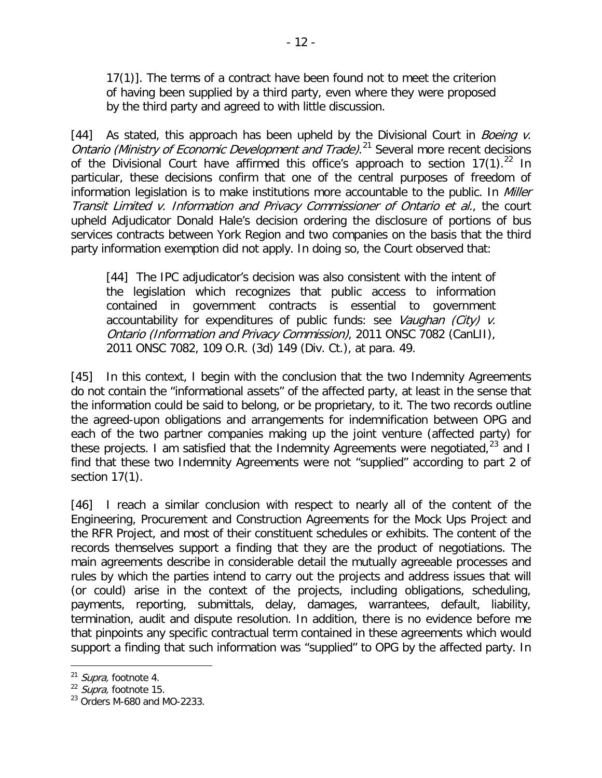17(1)]. The terms of a contract have been found not to meet the criterion of having been supplied by a third party, even where they were proposed by the third party and agreed to with little discussion.

[44] As stated, this approach has been upheld by the Divisional Court in Boeing  $\nu$ . Ontario (Ministry of Economic Development and Trade).<sup>[21](#page-11-0)</sup> Several more recent decisions of the Divisional Court have affirmed this office's approach to section  $17(1)$ .<sup>[22](#page-11-1)</sup> In particular, these decisions confirm that one of the central purposes of freedom of information legislation is to make institutions more accountable to the public. In *Miller* Transit Limited v. Information and Privacy Commissioner of Ontario et al., the court upheld Adjudicator Donald Hale's decision ordering the disclosure of portions of bus services contracts between York Region and two companies on the basis that the third party information exemption did not apply. In doing so, the Court observed that:

[44] The IPC adjudicator's decision was also consistent with the intent of the legislation which recognizes that public access to information contained in government contracts is essential to government accountability for expenditures of public funds: see Vaughan (City) v. Ontario (Information and Privacy Commission), 2011 ONSC 7082 (CanLII), 2011 ONSC 7082, 109 O.R. (3d) 149 (Div. Ct.), at para. 49.

[45] In this context, I begin with the conclusion that the two Indemnity Agreements do not contain the "informational assets" of the affected party, at least in the sense that the information could be said to belong, or be proprietary, to it. The two records outline the agreed-upon obligations and arrangements for indemnification between OPG and each of the two partner companies making up the joint venture (affected party) for these projects. I am satisfied that the Indemnity Agreements were negotiated,  $23$  and I find that these two Indemnity Agreements were not "supplied" according to part 2 of section 17(1).

[46] I reach a similar conclusion with respect to nearly all of the content of the Engineering, Procurement and Construction Agreements for the Mock Ups Project and the RFR Project, and most of their constituent schedules or exhibits. The content of the records themselves support a finding that they are the product of negotiations. The main agreements describe in considerable detail the mutually agreeable processes and rules by which the parties intend to carry out the projects and address issues that will (or could) arise in the context of the projects, including obligations, scheduling, payments, reporting, submittals, delay, damages, warrantees, default, liability, termination, audit and dispute resolution. In addition, there is no evidence before me that pinpoints any specific contractual term contained in these agreements which would support a finding that such information was "supplied" to OPG by the affected party. In

<span id="page-11-0"></span><sup>&</sup>lt;sup>21</sup> Supra, footnote 4.

<span id="page-11-1"></span> $22$  *Supra*, footnote 15.

<span id="page-11-2"></span> $23$  Orders M-680 and MO-2233.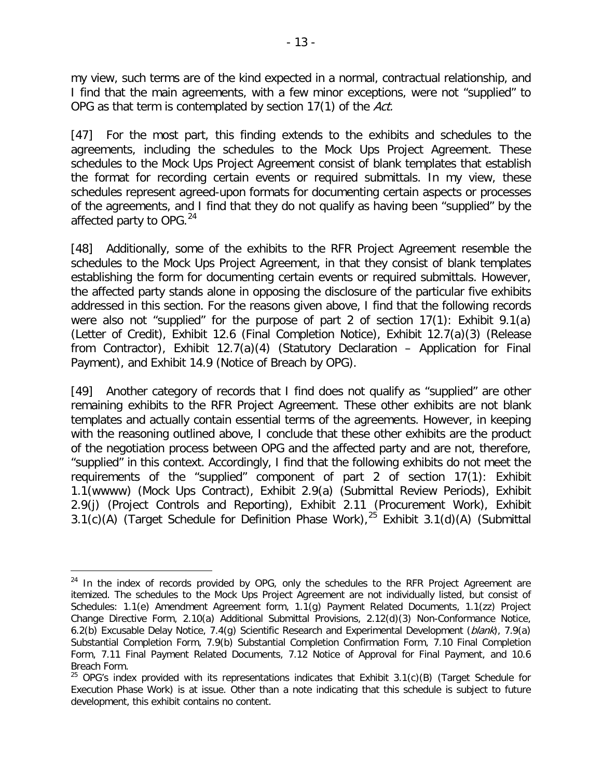my view, such terms are of the kind expected in a normal, contractual relationship, and I find that the main agreements, with a few minor exceptions, were not "supplied" to OPG as that term is contemplated by section 17(1) of the Act.

[47] For the most part, this finding extends to the exhibits and schedules to the agreements, including the schedules to the Mock Ups Project Agreement. These schedules to the Mock Ups Project Agreement consist of blank templates that establish the format for recording certain events or required submittals. In my view, these schedules represent agreed-upon formats for documenting certain aspects or processes of the agreements, and I find that they do not qualify as having been "supplied" by the affected party to OPG.<sup>[24](#page-12-0)</sup>

[48] Additionally, some of the exhibits to the RFR Project Agreement resemble the schedules to the Mock Ups Project Agreement, in that they consist of blank templates establishing the form for documenting certain events or required submittals. However, the affected party stands alone in opposing the disclosure of the particular five exhibits addressed in this section. For the reasons given above, I find that the following records were also not "supplied" for the purpose of part 2 of section 17(1): Exhibit 9.1(a) (Letter of Credit), Exhibit 12.6 (Final Completion Notice), Exhibit 12.7(a)(3) (Release from Contractor), Exhibit 12.7(a)(4) (Statutory Declaration – Application for Final Payment), and Exhibit 14.9 (Notice of Breach by OPG).

[49] Another category of records that I find does not qualify as "supplied" are other remaining exhibits to the RFR Project Agreement. These other exhibits are not blank templates and actually contain essential terms of the agreements. However, in keeping with the reasoning outlined above, I conclude that these other exhibits are the product of the negotiation process between OPG and the affected party and are not, therefore, "supplied" in this context. Accordingly, I find that the following exhibits do not meet the requirements of the "supplied" component of part 2 of section 17(1): Exhibit 1.1(wwww) (Mock Ups Contract), Exhibit 2.9(a) (Submittal Review Periods), Exhibit 2.9(j) (Project Controls and Reporting), Exhibit 2.11 (Procurement Work), Exhibit 3.1(c)(A) (Target Schedule for Definition Phase Work),<sup>[25](#page-12-1)</sup> Exhibit 3.1(d)(A) (Submittal

<span id="page-12-0"></span> $24$  In the index of records provided by OPG, only the schedules to the RFR Project Agreement are itemized. The schedules to the Mock Ups Project Agreement are not individually listed, but consist of Schedules: 1.1(e) Amendment Agreement form, 1.1(g) Payment Related Documents, 1.1(zz) Project Change Directive Form, 2.10(a) Additional Submittal Provisions, 2.12(d)(3) Non-Conformance Notice, 6.2(b) Excusable Delay Notice, 7.4(g) Scientific Research and Experimental Development (blank), 7.9(a) Substantial Completion Form, 7.9(b) Substantial Completion Confirmation Form, 7.10 Final Completion Form, 7.11 Final Payment Related Documents, 7.12 Notice of Approval for Final Payment, and 10.6 Breach Form.  $\overline{a}$ 

<span id="page-12-1"></span> $25$  OPG's index provided with its representations indicates that Exhibit 3.1(c)(B) (Target Schedule for Execution Phase Work) is at issue. Other than a note indicating that this schedule is subject to future development, this exhibit contains no content.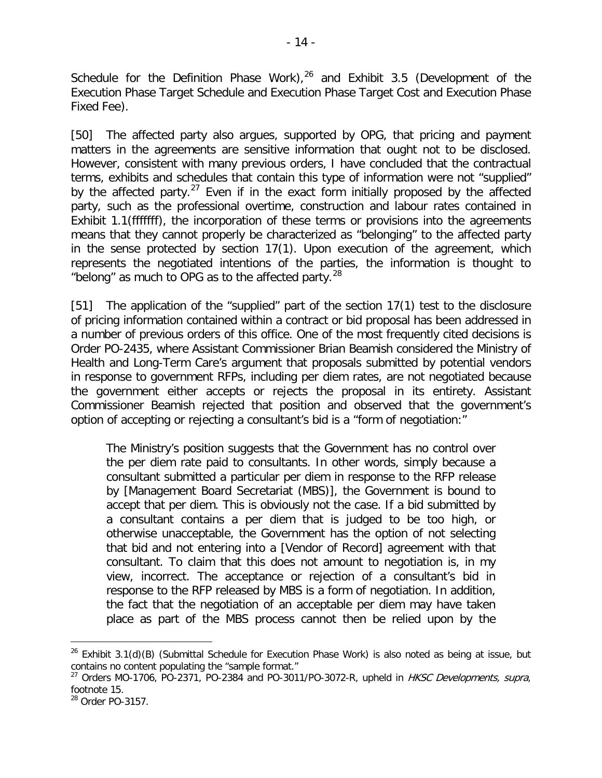Schedule for the Definition Phase Work), $^{26}$  $^{26}$  $^{26}$  and Exhibit 3.5 (Development of the Execution Phase Target Schedule and Execution Phase Target Cost and Execution Phase Fixed Fee).

[50] The affected party also argues, supported by OPG, that pricing and payment matters in the agreements are sensitive information that ought not to be disclosed. However, consistent with many previous orders, I have concluded that the contractual terms, exhibits and schedules that contain this type of information were not "supplied" by the affected party.<sup>[27](#page-13-1)</sup> Even if in the exact form initially proposed by the affected party, such as the professional overtime, construction and labour rates contained in Exhibit 1.1(fffffff), the incorporation of these terms or provisions into the agreements means that they cannot properly be characterized as "belonging" to the affected party in the sense protected by section 17(1). Upon execution of the agreement, which represents the negotiated intentions of the parties, the information is thought to "belong" as much to OPG as to the affected party. $^{28}$  $^{28}$  $^{28}$ 

[51] The application of the "supplied" part of the section 17(1) test to the disclosure of pricing information contained within a contract or bid proposal has been addressed in a number of previous orders of this office. One of the most frequently cited decisions is Order PO-2435, where Assistant Commissioner Brian Beamish considered the Ministry of Health and Long-Term Care's argument that proposals submitted by potential vendors in response to government RFPs, including per diem rates, are not negotiated because the government either accepts or rejects the proposal in its entirety. Assistant Commissioner Beamish rejected that position and observed that the government's option of accepting or rejecting a consultant's bid is a "form of negotiation:"

The Ministry's position suggests that the Government has no control over the per diem rate paid to consultants. In other words, simply because a consultant submitted a particular per diem in response to the RFP release by [Management Board Secretariat (MBS)], the Government is bound to accept that per diem. This is obviously not the case. If a bid submitted by a consultant contains a per diem that is judged to be too high, or otherwise unacceptable, the Government has the option of not selecting that bid and not entering into a [Vendor of Record] agreement with that consultant. To claim that this does not amount to negotiation is, in my view, incorrect. The acceptance or rejection of a consultant's bid in response to the RFP released by MBS is a form of negotiation. In addition, the fact that the negotiation of an acceptable per diem may have taken place as part of the MBS process cannot then be relied upon by the

<span id="page-13-0"></span> $26$  Exhibit 3.1(d)(B) (Submittal Schedule for Execution Phase Work) is also noted as being at issue, but contains no content populating the "sample format."

<span id="page-13-1"></span><sup>&</sup>lt;sup>27</sup> Orders MO-1706, PO-2371, PO-2384 and PO-3011/PO-3072-R, upheld in HKSC Developments, supra, footnote 15.

<span id="page-13-2"></span><sup>28</sup> Order PO-3157.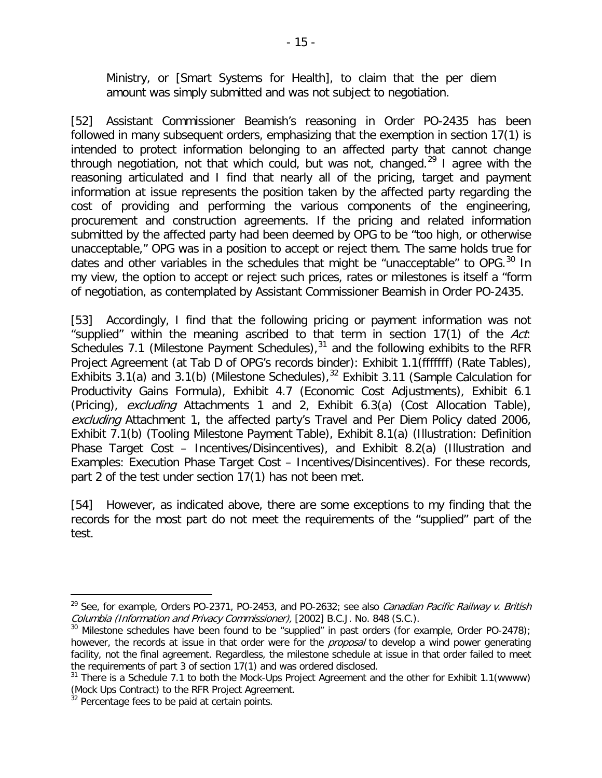Ministry, or [Smart Systems for Health], to claim that the per diem amount was simply submitted and was not subject to negotiation.

[52] Assistant Commissioner Beamish's reasoning in Order PO-2435 has been followed in many subsequent orders, emphasizing that the exemption in section 17(1) is intended to protect information belonging to an affected party that cannot change through negotiation, not that which could, but was not, changed.<sup>[29](#page-14-0)</sup> I agree with the reasoning articulated and I find that nearly all of the pricing, target and payment information at issue represents the position taken by the affected party regarding the cost of providing and performing the various components of the engineering, procurement and construction agreements. If the pricing and related information submitted by the affected party had been deemed by OPG to be "too high, or otherwise unacceptable," OPG was in a position to accept or reject them. The same holds true for dates and other variables in the schedules that might be "unacceptable" to OPG. $^{30}$  $^{30}$  $^{30}$  In my view, the option to accept or reject such prices, rates or milestones is itself a "form of negotiation, as contemplated by Assistant Commissioner Beamish in Order PO-2435.

[53] Accordingly, I find that the following pricing or payment information was not "supplied" within the meaning ascribed to that term in section  $17(1)$  of the Act: Schedules 7.1 (Milestone Payment Schedules),<sup>[31](#page-14-2)</sup> and the following exhibits to the RFR Project Agreement (at Tab D of OPG's records binder): Exhibit 1.1(fffffff) (Rate Tables), Exhibits 3.1(a) and 3.1(b) (Milestone Schedules),  $32$  Exhibit 3.11 (Sample Calculation for Productivity Gains Formula), Exhibit 4.7 (Economic Cost Adjustments), Exhibit 6.1 (Pricing), excluding Attachments 1 and 2, Exhibit 6.3(a) (Cost Allocation Table), excluding Attachment 1, the affected party's Travel and Per Diem Policy dated 2006, Exhibit 7.1(b) (Tooling Milestone Payment Table), Exhibit 8.1(a) (Illustration: Definition Phase Target Cost – Incentives/Disincentives), and Exhibit 8.2(a) (Illustration and Examples: Execution Phase Target Cost – Incentives/Disincentives). For these records, part 2 of the test under section 17(1) has not been met.

[54] However, as indicated above, there are some exceptions to my finding that the records for the most part do not meet the requirements of the "supplied" part of the test.

<span id="page-14-0"></span><sup>&</sup>lt;sup>29</sup> See, for example, Orders PO-2371, PO-2453, and PO-2632; see also *Canadian Pacific Railway v. British*<br>Columbia (Information and Privacy Commissioner), [2002] B.C.J. No. 848 (S.C.).

<span id="page-14-1"></span><sup>&</sup>lt;sup>30</sup> Milestone schedules have been found to be "supplied" in past orders (for example, Order PO-2478); however, the records at issue in that order were for the *proposal* to develop a wind power generating facility, not the final agreement. Regardless, the milestone schedule at issue in that order failed to meet the requirements of part 3 of section 17(1) and was ordered disclosed.

<span id="page-14-2"></span> $31$  There is a Schedule 7.1 to both the Mock-Ups Project Agreement and the other for Exhibit 1.1(wwww) (Mock Ups Contract) to the RFR Project Agreement.

<span id="page-14-3"></span> $32$  Percentage fees to be paid at certain points.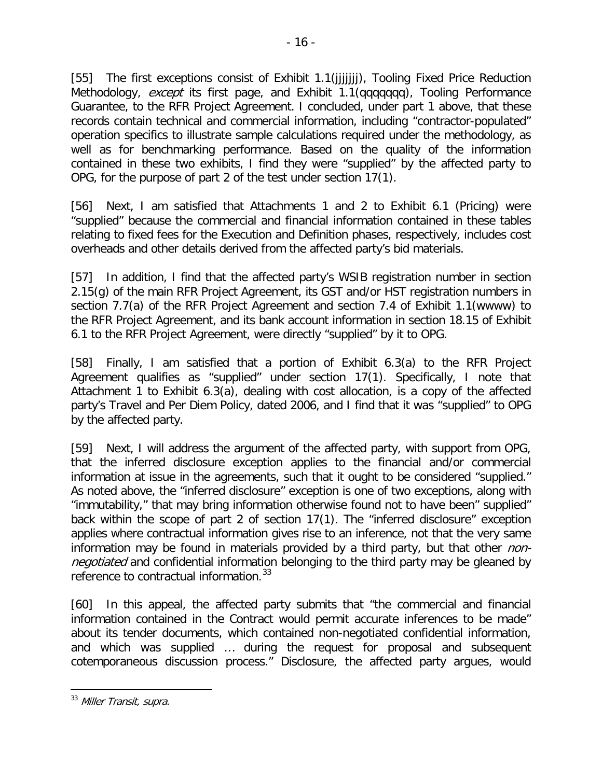[55] The first exceptions consist of Exhibit 1.1(jjjjjjj), Tooling Fixed Price Reduction Methodology, except its first page, and Exhibit 1.1(qqqqqqq), Tooling Performance Guarantee, to the RFR Project Agreement. I concluded, under part 1 above, that these records contain technical and commercial information, including "contractor-populated" operation specifics to illustrate sample calculations required under the methodology, as well as for benchmarking performance. Based on the quality of the information contained in these two exhibits, I find they were "supplied" by the affected party to OPG, for the purpose of part 2 of the test under section 17(1).

[56] Next, I am satisfied that Attachments 1 and 2 to Exhibit 6.1 (Pricing) were "supplied" because the commercial and financial information contained in these tables relating to fixed fees for the Execution and Definition phases, respectively, includes cost overheads and other details derived from the affected party's bid materials.

[57] In addition, I find that the affected party's WSIB registration number in section 2.15(g) of the main RFR Project Agreement, its GST and/or HST registration numbers in section 7.7(a) of the RFR Project Agreement and section 7.4 of Exhibit 1.1(wwww) to the RFR Project Agreement, and its bank account information in section 18.15 of Exhibit 6.1 to the RFR Project Agreement, were directly "supplied" by it to OPG.

[58] Finally, I am satisfied that a portion of Exhibit 6.3(a) to the RFR Project Agreement qualifies as "supplied" under section 17(1). Specifically, I note that Attachment 1 to Exhibit 6.3(a), dealing with cost allocation, is a copy of the affected party's Travel and Per Diem Policy, dated 2006, and I find that it was "supplied" to OPG by the affected party.

[59] Next, I will address the argument of the affected party, with support from OPG, that the inferred disclosure exception applies to the financial and/or commercial information at issue in the agreements, such that it ought to be considered "supplied." As noted above, the "inferred disclosure" exception is one of two exceptions, along with "immutability," that may bring information otherwise found not to have been" supplied" back within the scope of part 2 of section 17(1). The "inferred disclosure" exception applies where contractual information gives rise to an inference, not that the very same information may be found in materials provided by a third party, but that other nonnegotiated and confidential information belonging to the third party may be gleaned by reference to contractual information.<sup>[33](#page-15-0)</sup>

[60] In this appeal, the affected party submits that "the commercial and financial information contained in the Contract would permit accurate inferences to be made" about its tender documents, which contained non-negotiated confidential information, and which was supplied … during the request for proposal and subsequent cotemporaneous discussion process." Disclosure, the affected party argues, would

<span id="page-15-0"></span><sup>&</sup>lt;sup>33</sup> Miller Transit, supra.  $\overline{a}$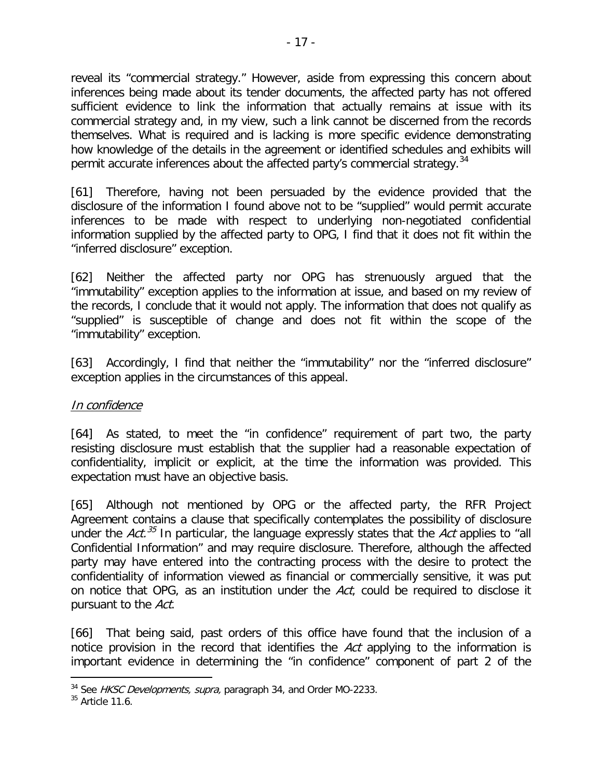reveal its "commercial strategy." However, aside from expressing this concern about inferences being made about its tender documents, the affected party has not offered sufficient evidence to link the information that actually remains at issue with its commercial strategy and, in my view, such a link cannot be discerned from the records themselves. What is required and is lacking is more specific evidence demonstrating how knowledge of the details in the agreement or identified schedules and exhibits will permit accurate inferences about the affected party's commercial strategy.<sup>[34](#page-16-0)</sup>

[61] Therefore, having not been persuaded by the evidence provided that the disclosure of the information I found above not to be "supplied" would permit accurate inferences to be made with respect to underlying non-negotiated confidential information supplied by the affected party to OPG, I find that it does not fit within the "inferred disclosure" exception.

[62] Neither the affected party nor OPG has strenuously argued that the "immutability" exception applies to the information at issue, and based on my review of the records, I conclude that it would not apply. The information that does not qualify as "supplied" is susceptible of change and does not fit within the scope of the "immutability" exception.

[63] Accordingly, I find that neither the "immutability" nor the "inferred disclosure" exception applies in the circumstances of this appeal.

### In confidence

[64] As stated, to meet the "in confidence" requirement of part two, the party resisting disclosure must establish that the supplier had a reasonable expectation of confidentiality, implicit or explicit, at the time the information was provided. This expectation must have an objective basis.

[65] Although not mentioned by OPG or the affected party, the RFR Project Agreement contains a clause that specifically contemplates the possibility of disclosure under the  $Act.^{35}$  $Act.^{35}$  $Act.^{35}$  In particular, the language expressly states that the Act applies to "all Confidential Information" and may require disclosure. Therefore, although the affected party may have entered into the contracting process with the desire to protect the confidentiality of information viewed as financial or commercially sensitive, it was put on notice that OPG, as an institution under the Act, could be required to disclose it pursuant to the Act.

[66] That being said, past orders of this office have found that the inclusion of a notice provision in the record that identifies the Act applying to the information is important evidence in determining the "in confidence" component of part 2 of the

<span id="page-16-0"></span> $34$  See HKSC Developments, supra, paragraph 34, and Order MO-2233.

<span id="page-16-1"></span> $35$  Article 11.6.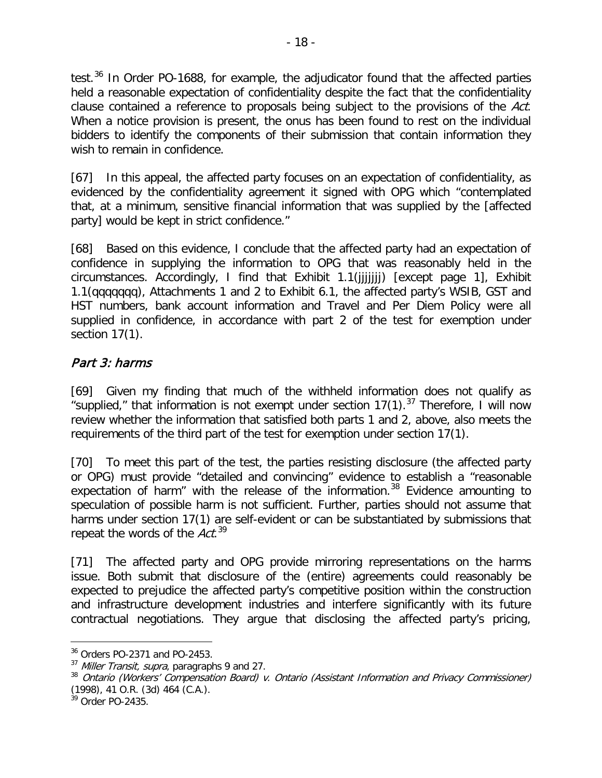test.<sup>[36](#page-17-0)</sup> In Order PO-1688, for example, the adjudicator found that the affected parties held a reasonable expectation of confidentiality despite the fact that the confidentiality clause contained a reference to proposals being subject to the provisions of the Act. When a notice provision is present, the onus has been found to rest on the individual bidders to identify the components of their submission that contain information they wish to remain in confidence.

[67] In this appeal, the affected party focuses on an expectation of confidentiality, as evidenced by the confidentiality agreement it signed with OPG which "contemplated that, at a minimum, sensitive financial information that was supplied by the [affected party] would be kept in strict confidence."

[68] Based on this evidence, I conclude that the affected party had an expectation of confidence in supplying the information to OPG that was reasonably held in the circumstances. Accordingly, I find that Exhibit 1.1(jjjjjjj) [except page 1], Exhibit 1.1(qqqqqqq), Attachments 1 and 2 to Exhibit 6.1, the affected party's WSIB, GST and HST numbers, bank account information and Travel and Per Diem Policy were all supplied in confidence, in accordance with part 2 of the test for exemption under section 17(1).

## Part 3: harms

[69] Given my finding that much of the withheld information does not qualify as "supplied," that information is not exempt under section  $17(1)$ .<sup>[37](#page-17-1)</sup> Therefore, I will now review whether the information that satisfied both parts 1 and 2, above, also meets the requirements of the third part of the test for exemption under section 17(1).

[70] To meet this part of the test, the parties resisting disclosure (the affected party or OPG) must provide "detailed and convincing" evidence to establish a "reasonable expectation of harm" with the release of the information. $38$  Evidence amounting to speculation of possible harm is not sufficient. Further, parties should not assume that harms under section 17(1) are self-evident or can be substantiated by submissions that repeat the words of the Act.<sup>[39](#page-17-3)</sup>

[71] The affected party and OPG provide mirroring representations on the harms issue. Both submit that disclosure of the (entire) agreements could reasonably be expected to prejudice the affected party's competitive position within the construction and infrastructure development industries and interfere significantly with its future contractual negotiations. They argue that disclosing the affected party's pricing,

<span id="page-17-0"></span><sup>36</sup> Orders PO-2371 and PO-2453.

<span id="page-17-1"></span> $37$  Miller Transit, supra, paragraphs 9 and 27.

<span id="page-17-2"></span><sup>&</sup>lt;sup>38</sup> Ontario (Workers' Compensation Board) v. Ontario (Assistant Information and Privacy Commissioner) (1998), 41 O.R. (3d) 464 (C.A.).

<span id="page-17-3"></span><sup>&</sup>lt;sup>39</sup> Order PO-2435.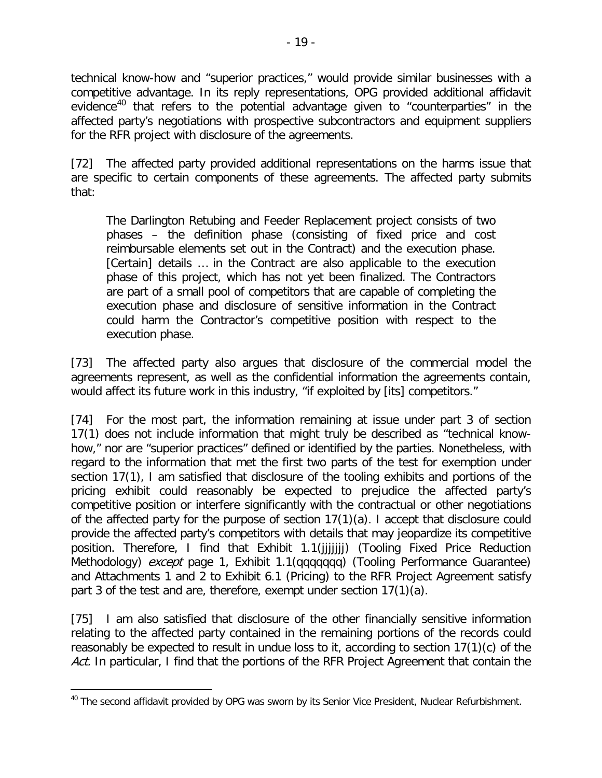technical know-how and "superior practices," would provide similar businesses with a competitive advantage. In its reply representations, OPG provided additional affidavit evidence<sup>[40](#page-18-0)</sup> that refers to the potential advantage given to "counterparties" in the affected party's negotiations with prospective subcontractors and equipment suppliers for the RFR project with disclosure of the agreements.

[72] The affected party provided additional representations on the harms issue that are specific to certain components of these agreements. The affected party submits that:

The Darlington Retubing and Feeder Replacement project consists of two phases – the definition phase (consisting of fixed price and cost reimbursable elements set out in the Contract) and the execution phase. [Certain] details … in the Contract are also applicable to the execution phase of this project, which has not yet been finalized. The Contractors are part of a small pool of competitors that are capable of completing the execution phase and disclosure of sensitive information in the Contract could harm the Contractor's competitive position with respect to the execution phase.

[73] The affected party also argues that disclosure of the commercial model the agreements represent, as well as the confidential information the agreements contain, would affect its future work in this industry, "if exploited by [its] competitors."

[74] For the most part, the information remaining at issue under part 3 of section 17(1) does not include information that might truly be described as "technical knowhow," nor are "superior practices" defined or identified by the parties. Nonetheless, with regard to the information that met the first two parts of the test for exemption under section 17(1), I am satisfied that disclosure of the tooling exhibits and portions of the pricing exhibit could reasonably be expected to prejudice the affected party's competitive position or interfere significantly with the contractual or other negotiations of the affected party for the purpose of section 17(1)(a). I accept that disclosure could provide the affected party's competitors with details that may jeopardize its competitive position. Therefore, I find that Exhibit 1.1(jjjjjjj) (Tooling Fixed Price Reduction Methodology) *except* page 1, Exhibit 1.1(qqqqqqq) (Tooling Performance Guarantee) and Attachments 1 and 2 to Exhibit 6.1 (Pricing) to the RFR Project Agreement satisfy part 3 of the test and are, therefore, exempt under section 17(1)(a).

[75] I am also satisfied that disclosure of the other financially sensitive information relating to the affected party contained in the remaining portions of the records could reasonably be expected to result in undue loss to it, according to section 17(1)(c) of the Act. In particular, I find that the portions of the RFR Project Agreement that contain the

<span id="page-18-0"></span><sup>&</sup>lt;sup>40</sup> The second affidavit provided by OPG was sworn by its Senior Vice President, Nuclear Refurbishment.  $\overline{a}$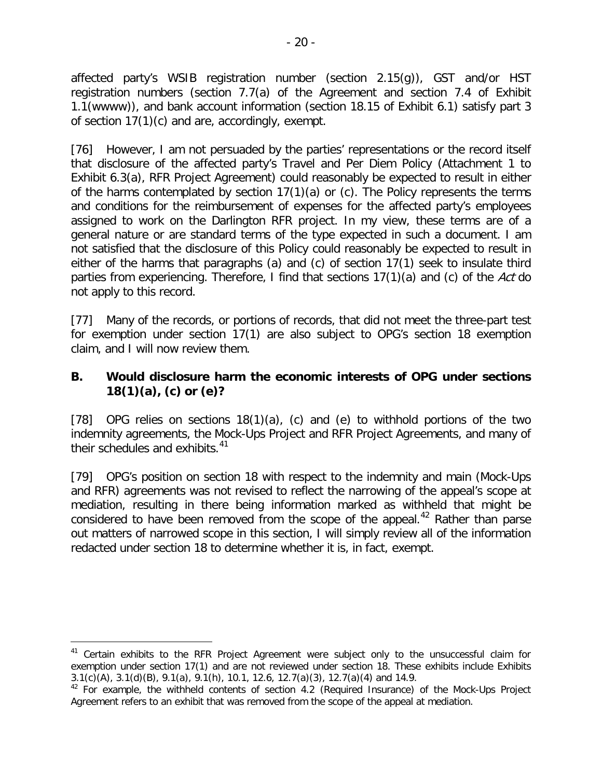affected party's WSIB registration number (section 2.15(g)), GST and/or HST registration numbers (section 7.7(a) of the Agreement and section 7.4 of Exhibit 1.1(wwww)), and bank account information (section 18.15 of Exhibit 6.1) satisfy part 3 of section 17(1)(c) and are, accordingly, exempt.

[76] However, I am not persuaded by the parties' representations or the record itself that disclosure of the affected party's Travel and Per Diem Policy (Attachment 1 to Exhibit 6.3(a), RFR Project Agreement) could reasonably be expected to result in either of the harms contemplated by section 17(1)(a) or (c). The Policy represents the terms and conditions for the reimbursement of expenses for the affected party's employees assigned to work on the Darlington RFR project. In my view, these terms are of a general nature or are standard terms of the type expected in such a document. I am not satisfied that the disclosure of this Policy could reasonably be expected to result in either of the harms that paragraphs (a) and (c) of section 17(1) seek to insulate third parties from experiencing. Therefore, I find that sections 17(1)(a) and (c) of the Act do not apply to this record.

[77] Many of the records, or portions of records, that did not meet the three-part test for exemption under section 17(1) are also subject to OPG's section 18 exemption claim, and I will now review them.

## **B. Would disclosure harm the economic interests of OPG under sections 18(1)(a), (c) or (e)?**

[78] OPG relies on sections  $18(1)(a)$ , (c) and (e) to withhold portions of the two indemnity agreements, the Mock-Ups Project and RFR Project Agreements, and many of their schedules and exhibits. $41$ 

[79] OPG's position on section 18 with respect to the indemnity and main (Mock-Ups and RFR) agreements was not revised to reflect the narrowing of the appeal's scope at mediation, resulting in there being information marked as withheld that might be considered to have been removed from the scope of the appeal.<sup>[42](#page-19-1)</sup> Rather than parse out matters of narrowed scope in this section, I will simply review all of the information redacted under section 18 to determine whether it is, in fact, exempt.

<span id="page-19-0"></span><sup>&</sup>lt;sup>41</sup> Certain exhibits to the RFR Project Agreement were subject only to the unsuccessful claim for exemption under section 17(1) and are not reviewed under section 18. These exhibits include Exhibits 3.1(c)(A), 3.1(d)(B), 9.1(a), 9.1(h), 10.1, 12.6, 12.7(a)(3), 12.7(a)(4) and 14.9.

<span id="page-19-1"></span> $42$  For example, the withheld contents of section 4.2 (Required Insurance) of the Mock-Ups Project Agreement refers to an exhibit that was removed from the scope of the appeal at mediation.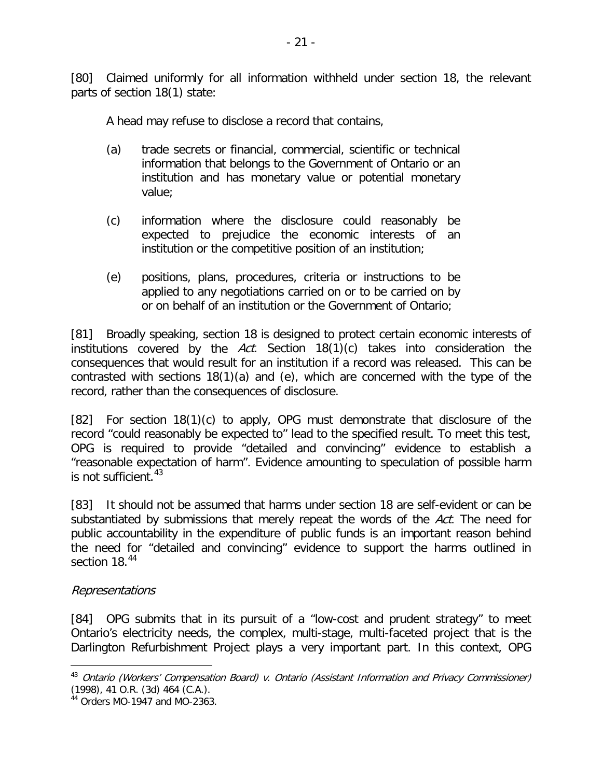[80] Claimed uniformly for all information withheld under section 18, the relevant parts of section 18(1) state:

A head may refuse to disclose a record that contains,

- (a) trade secrets or financial, commercial, scientific or technical information that belongs to the Government of Ontario or an institution and has monetary value or potential monetary value;
- (c) information where the disclosure could reasonably be expected to prejudice the economic interests of an institution or the competitive position of an institution;
- (e) positions, plans, procedures, criteria or instructions to be applied to any negotiations carried on or to be carried on by or on behalf of an institution or the Government of Ontario;

[81] Broadly speaking, section 18 is designed to protect certain economic interests of institutions covered by the  $Act.$  Section 18(1)(c) takes into consideration the consequences that would result for an institution if a record was released. This can be contrasted with sections 18(1)(a) and (e), which are concerned with the type of the record, rather than the consequences of disclosure.

[82] For section 18(1)(c) to apply, OPG must demonstrate that disclosure of the record "could reasonably be expected to" lead to the specified result. To meet this test, OPG is required to provide "detailed and convincing" evidence to establish a "reasonable expectation of harm". Evidence amounting to speculation of possible harm is not sufficient.<sup>[43](#page-20-0)</sup>

[83] It should not be assumed that harms under section 18 are self-evident or can be substantiated by submissions that merely repeat the words of the Act. The need for public accountability in the expenditure of public funds is an important reason behind the need for "detailed and convincing" evidence to support the harms outlined in section 18.<sup>[44](#page-20-1)</sup>

## Representations

 $\overline{a}$ 

[84] OPG submits that in its pursuit of a "low-cost and prudent strategy" to meet Ontario's electricity needs, the complex, multi-stage, multi-faceted project that is the Darlington Refurbishment Project plays a very important part. In this context, OPG

<span id="page-20-0"></span><sup>&</sup>lt;sup>43</sup> Ontario (Workers' Compensation Board) v. Ontario (Assistant Information and Privacy Commissioner) (1998), 41 O.R. (3d) 464 (C.A.).

<span id="page-20-1"></span><sup>44</sup> Orders MO-1947 and MO-2363.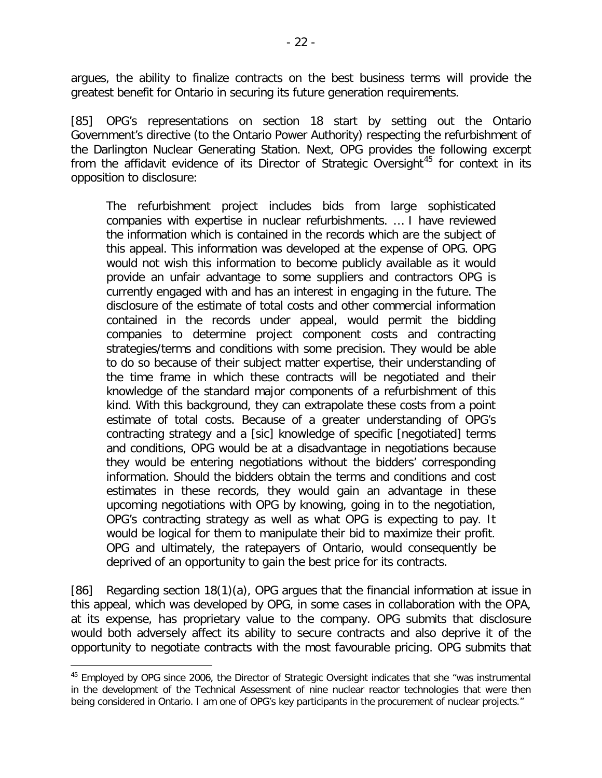argues, the ability to finalize contracts on the best business terms will provide the greatest benefit for Ontario in securing its future generation requirements.

[85] OPG's representations on section 18 start by setting out the Ontario Government's directive (to the Ontario Power Authority) respecting the refurbishment of the Darlington Nuclear Generating Station. Next, OPG provides the following excerpt from the affidavit evidence of its Director of Strategic Oversight<sup>[45](#page-21-0)</sup> for context in its opposition to disclosure:

The refurbishment project includes bids from large sophisticated companies with expertise in nuclear refurbishments. … I have reviewed the information which is contained in the records which are the subject of this appeal. This information was developed at the expense of OPG. OPG would not wish this information to become publicly available as it would provide an unfair advantage to some suppliers and contractors OPG is currently engaged with and has an interest in engaging in the future. The disclosure of the estimate of total costs and other commercial information contained in the records under appeal, would permit the bidding companies to determine project component costs and contracting strategies/terms and conditions with some precision. They would be able to do so because of their subject matter expertise, their understanding of the time frame in which these contracts will be negotiated and their knowledge of the standard major components of a refurbishment of this kind. With this background, they can extrapolate these costs from a point estimate of total costs. Because of a greater understanding of OPG's contracting strategy and a [sic] knowledge of specific [negotiated] terms and conditions, OPG would be at a disadvantage in negotiations because they would be entering negotiations without the bidders' corresponding information. Should the bidders obtain the terms and conditions and cost estimates in these records, they would gain an advantage in these upcoming negotiations with OPG by knowing, going in to the negotiation, OPG's contracting strategy as well as what OPG is expecting to pay. It would be logical for them to manipulate their bid to maximize their profit. OPG and ultimately, the ratepayers of Ontario, would consequently be deprived of an opportunity to gain the best price for its contracts.

[86] Regarding section 18(1)(a), OPG argues that the financial information at issue in this appeal, which was developed by OPG, in some cases in collaboration with the OPA, at its expense, has proprietary value to the company. OPG submits that disclosure would both adversely affect its ability to secure contracts and also deprive it of the opportunity to negotiate contracts with the most favourable pricing. OPG submits that

<span id="page-21-0"></span><sup>&</sup>lt;sup>45</sup> Employed by OPG since 2006, the Director of Strategic Oversight indicates that she "was instrumental in the development of the Technical Assessment of nine nuclear reactor technologies that were then being considered in Ontario. I am one of OPG's key participants in the procurement of nuclear projects."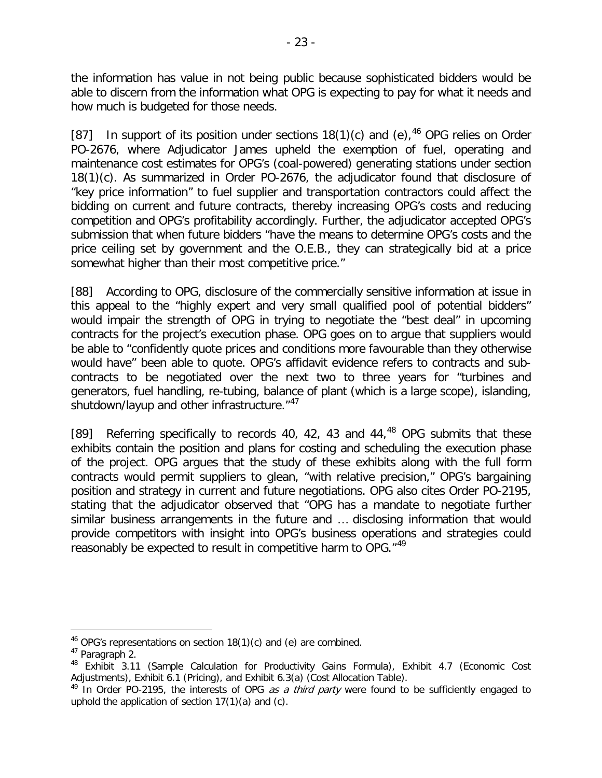the information has value in not being public because sophisticated bidders would be able to discern from the information what OPG is expecting to pay for what it needs and how much is budgeted for those needs.

[87] In support of its position under sections  $18(1)(c)$  and (e),  $46$  OPG relies on Order PO-2676, where Adjudicator James upheld the exemption of fuel, operating and maintenance cost estimates for OPG's (coal-powered) generating stations under section 18(1)(c). As summarized in Order PO-2676, the adjudicator found that disclosure of "key price information" to fuel supplier and transportation contractors could affect the bidding on current and future contracts, thereby increasing OPG's costs and reducing competition and OPG's profitability accordingly. Further, the adjudicator accepted OPG's submission that when future bidders "have the means to determine OPG's costs and the price ceiling set by government and the O.E.B., they can strategically bid at a price somewhat higher than their most competitive price."

[88] According to OPG, disclosure of the commercially sensitive information at issue in this appeal to the "highly expert and very small qualified pool of potential bidders" would impair the strength of OPG in trying to negotiate the "best deal" in upcoming contracts for the project's execution phase. OPG goes on to argue that suppliers would be able to "confidently quote prices and conditions more favourable than they otherwise would have" been able to quote. OPG's affidavit evidence refers to contracts and subcontracts to be negotiated over the next two to three years for "turbines and generators, fuel handling, re-tubing, balance of plant (which is a large scope), islanding, shutdown/layup and other infrastructure."<sup>[47](#page-22-1)</sup>

[89] Referring specifically to records 40, 42, 43 and  $44<sub>1</sub><sup>48</sup>$  $44<sub>1</sub><sup>48</sup>$  $44<sub>1</sub><sup>48</sup>$  OPG submits that these exhibits contain the position and plans for costing and scheduling the execution phase of the project. OPG argues that the study of these exhibits along with the full form contracts would permit suppliers to glean, "with relative precision," OPG's bargaining position and strategy in current and future negotiations. OPG also cites Order PO-2195, stating that the adjudicator observed that "OPG has a mandate to negotiate further similar business arrangements in the future and … disclosing information that would provide competitors with insight into OPG's business operations and strategies could reasonably be expected to result in competitive harm to OPG.<sup>"[49](#page-22-3)</sup>

<span id="page-22-0"></span> $46$  OPG's representations on section 18(1)(c) and (e) are combined.

<span id="page-22-1"></span><sup>47</sup> Paragraph 2.

<span id="page-22-2"></span><sup>&</sup>lt;sup>48</sup> Exhibit 3.11 (Sample Calculation for Productivity Gains Formula), Exhibit 4.7 (Economic Cost Adjustments), Exhibit 6.1 (Pricing), and Exhibit 6.3(a) (Cost Allocation Table).

<span id="page-22-3"></span> $49$  In Order PO-2195, the interests of OPG as a third party were found to be sufficiently engaged to uphold the application of section 17(1)(a) and (c).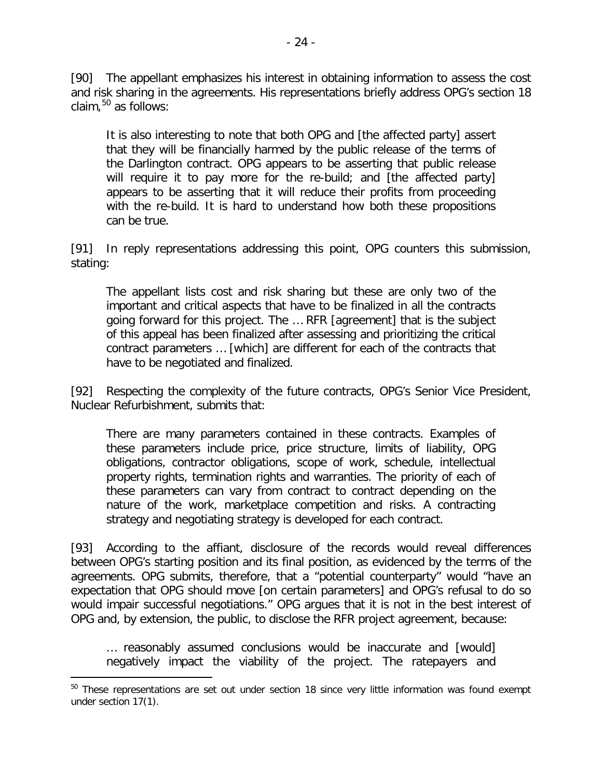[90] The appellant emphasizes his interest in obtaining information to assess the cost and risk sharing in the agreements. His representations briefly address OPG's section 18 claim,  $50$  as follows:

It is also interesting to note that both OPG and [the affected party] assert that they will be financially harmed by the public release of the terms of the Darlington contract. OPG appears to be asserting that public release will require it to pay more for the re-build; and [the affected party] appears to be asserting that it will reduce their profits from proceeding with the re-build. It is hard to understand how both these propositions can be true.

[91] In reply representations addressing this point, OPG counters this submission, stating:

The appellant lists cost and risk sharing but these are only two of the important and critical aspects that have to be finalized in all the contracts going forward for this project. The … RFR [agreement] that is the subject of this appeal has been finalized after assessing and prioritizing the critical contract parameters … [which] are different for each of the contracts that have to be negotiated and finalized.

[92] Respecting the complexity of the future contracts, OPG's Senior Vice President, Nuclear Refurbishment, submits that:

There are many parameters contained in these contracts. Examples of these parameters include price, price structure, limits of liability, OPG obligations, contractor obligations, scope of work, schedule, intellectual property rights, termination rights and warranties. The priority of each of these parameters can vary from contract to contract depending on the nature of the work, marketplace competition and risks. A contracting strategy and negotiating strategy is developed for each contract.

[93] According to the affiant, disclosure of the records would reveal differences between OPG's starting position and its final position, as evidenced by the terms of the agreements. OPG submits, therefore, that a "potential counterparty" would "have an expectation that OPG should move [on certain parameters] and OPG's refusal to do so would impair successful negotiations." OPG argues that it is not in the best interest of OPG and, by extension, the public, to disclose the RFR project agreement, because:

… reasonably assumed conclusions would be inaccurate and [would] negatively impact the viability of the project. The ratepayers and

<span id="page-23-0"></span><sup>&</sup>lt;sup>50</sup> These representations are set out under section 18 since very little information was found exempt under section 17(1).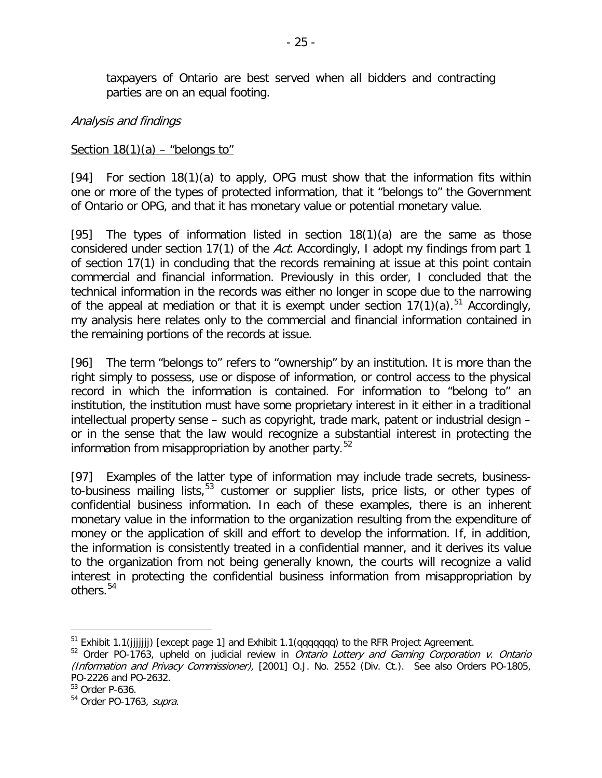taxpayers of Ontario are best served when all bidders and contracting parties are on an equal footing.

#### Analysis and findings

#### Section  $18(1)(a)$  – "belongs to"

[94] For section 18(1)(a) to apply, OPG must show that the information fits within one or more of the types of protected information, that it "belongs to" the Government of Ontario or OPG, and that it has monetary value or potential monetary value.

[95] The types of information listed in section  $18(1)(a)$  are the same as those considered under section 17(1) of the Act. Accordingly, I adopt my findings from part 1 of section 17(1) in concluding that the records remaining at issue at this point contain commercial and financial information. Previously in this order, I concluded that the technical information in the records was either no longer in scope due to the narrowing of the appeal at mediation or that it is exempt under section  $17(1)(a)$ .<sup>[51](#page-24-0)</sup> Accordingly, my analysis here relates only to the commercial and financial information contained in the remaining portions of the records at issue.

[96] The term "belongs to" refers to "ownership" by an institution. It is more than the right simply to possess, use or dispose of information, or control access to the physical record in which the information is contained. For information to "belong to" an institution, the institution must have some proprietary interest in it either in a traditional intellectual property sense – such as copyright, trade mark, patent or industrial design – or in the sense that the law would recognize a substantial interest in protecting the information from misappropriation by another party. $52$ 

[97] Examples of the latter type of information may include trade secrets, business-to-business mailing lists,<sup>[53](#page-24-2)</sup> customer or supplier lists, price lists, or other types of confidential business information. In each of these examples, there is an inherent monetary value in the information to the organization resulting from the expenditure of money or the application of skill and effort to develop the information. If, in addition, the information is consistently treated in a confidential manner, and it derives its value to the organization from not being generally known, the courts will recognize a valid interest in protecting the confidential business information from misappropriation by others.<sup>[54](#page-24-3)</sup>

<span id="page-24-0"></span> $51$  Exhibit 1.1(jjjjjjj) [except page 1] and Exhibit 1.1(qqqqqqq) to the RFR Project Agreement.

<span id="page-24-1"></span><sup>&</sup>lt;sup>52</sup> Order PO-1763, upheld on judicial review in *Ontario Lottery and Gaming Corporation v. Ontario* (Information and Privacy Commissioner), [2001] O.J. No. 2552 (Div. Ct.). See also Orders PO-1805, PO-2226 and PO-2632.

<span id="page-24-2"></span><sup>53</sup> Order P-636.

<span id="page-24-3"></span><sup>54</sup> Order PO-1763, supra.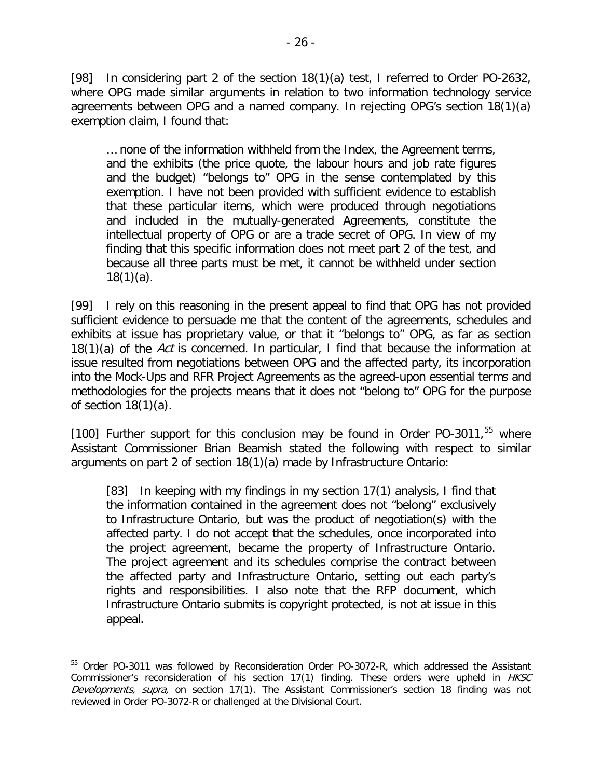[98] In considering part 2 of the section 18(1)(a) test, I referred to Order PO-2632, where OPG made similar arguments in relation to two information technology service agreements between OPG and a named company. In rejecting OPG's section 18(1)(a) exemption claim, I found that:

… none of the information withheld from the Index, the Agreement terms, and the exhibits (the price quote, the labour hours and job rate figures and the budget) "belongs to" OPG in the sense contemplated by this exemption. I have not been provided with sufficient evidence to establish that these particular items, which were produced through negotiations and included in the mutually-generated Agreements, constitute the intellectual property of OPG or are a trade secret of OPG. In view of my finding that this specific information does not meet part 2 of the test, and because all three parts must be met, it cannot be withheld under section  $18(1)(a)$ .

[99] I rely on this reasoning in the present appeal to find that OPG has not provided sufficient evidence to persuade me that the content of the agreements, schedules and exhibits at issue has proprietary value, or that it "belongs to" OPG, as far as section 18(1)(a) of the Act is concerned. In particular, I find that because the information at issue resulted from negotiations between OPG and the affected party, its incorporation into the Mock-Ups and RFR Project Agreements as the agreed-upon essential terms and methodologies for the projects means that it does not "belong to" OPG for the purpose of section  $18(1)(a)$ .

[100] Further support for this conclusion may be found in Order PO-3011, $55$  where Assistant Commissioner Brian Beamish stated the following with respect to similar arguments on part 2 of section 18(1)(a) made by Infrastructure Ontario:

[83] In keeping with my findings in my section 17(1) analysis, I find that the information contained in the agreement does not "belong" exclusively to Infrastructure Ontario, but was the product of negotiation(s) with the affected party. I do not accept that the schedules, once incorporated into the project agreement, became the property of Infrastructure Ontario. The project agreement and its schedules comprise the contract between the affected party and Infrastructure Ontario, setting out each party's rights and responsibilities. I also note that the RFP document, which Infrastructure Ontario submits is copyright protected, is not at issue in this appeal.

<span id="page-25-0"></span><sup>&</sup>lt;sup>55</sup> Order PO-3011 was followed by Reconsideration Order PO-3072-R, which addressed the Assistant Commissioner's reconsideration of his section 17(1) finding. These orders were upheld in HKSC Developments, supra, on section 17(1). The Assistant Commissioner's section 18 finding was not reviewed in Order PO-3072-R or challenged at the Divisional Court.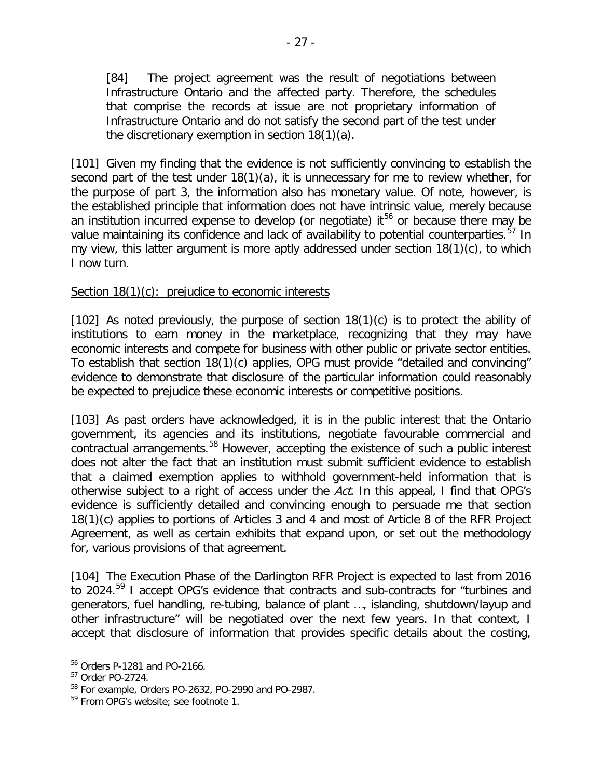[84] The project agreement was the result of negotiations between Infrastructure Ontario and the affected party. Therefore, the schedules that comprise the records at issue are not proprietary information of Infrastructure Ontario and do not satisfy the second part of the test under the discretionary exemption in section 18(1)(a).

[101] Given my finding that the evidence is not sufficiently convincing to establish the second part of the test under 18(1)(a), it is unnecessary for me to review whether, for the purpose of part 3, the information also has monetary value. Of note, however, is the established principle that information does not have intrinsic value, merely because an institution incurred expense to develop (or negotiate) it<sup>[56](#page-26-0)</sup> or because there may be value maintaining its confidence and lack of availability to potential counterparties.<sup>[57](#page-26-1)</sup> In my view, this latter argument is more aptly addressed under section 18(1)(c), to which I now turn.

### Section 18(1)(c): prejudice to economic interests

[102] As noted previously, the purpose of section  $18(1)(c)$  is to protect the ability of institutions to earn money in the marketplace, recognizing that they may have economic interests and compete for business with other public or private sector entities. To establish that section 18(1)(c) applies, OPG must provide "detailed and convincing" evidence to demonstrate that disclosure of the particular information could reasonably be expected to prejudice these economic interests or competitive positions.

[103] As past orders have acknowledged, it is in the public interest that the Ontario government, its agencies and its institutions, negotiate favourable commercial and contractual arrangements.<sup>[58](#page-26-2)</sup> However, accepting the existence of such a public interest does not alter the fact that an institution must submit sufficient evidence to establish that a claimed exemption applies to withhold government-held information that is otherwise subject to a right of access under the Act. In this appeal, I find that OPG's evidence is sufficiently detailed and convincing enough to persuade me that section 18(1)(c) applies to portions of Articles 3 and 4 and most of Article 8 of the RFR Project Agreement, as well as certain exhibits that expand upon, or set out the methodology for, various provisions of that agreement.

[104] The Execution Phase of the Darlington RFR Project is expected to last from 2016 to 2024.[59](#page-26-3) I accept OPG's evidence that contracts and sub-contracts for "turbines and generators, fuel handling, re-tubing, balance of plant …, islanding, shutdown/layup and other infrastructure" will be negotiated over the next few years. In that context, I accept that disclosure of information that provides specific details about the costing,

<span id="page-26-0"></span><sup>56</sup> Orders P-1281 and PO-2166.

<span id="page-26-1"></span><sup>57</sup> Order PO-2724.

<span id="page-26-2"></span><sup>58</sup> For example, Orders PO-2632, PO-2990 and PO-2987.

<span id="page-26-3"></span><sup>&</sup>lt;sup>59</sup> From OPG's website; see footnote 1.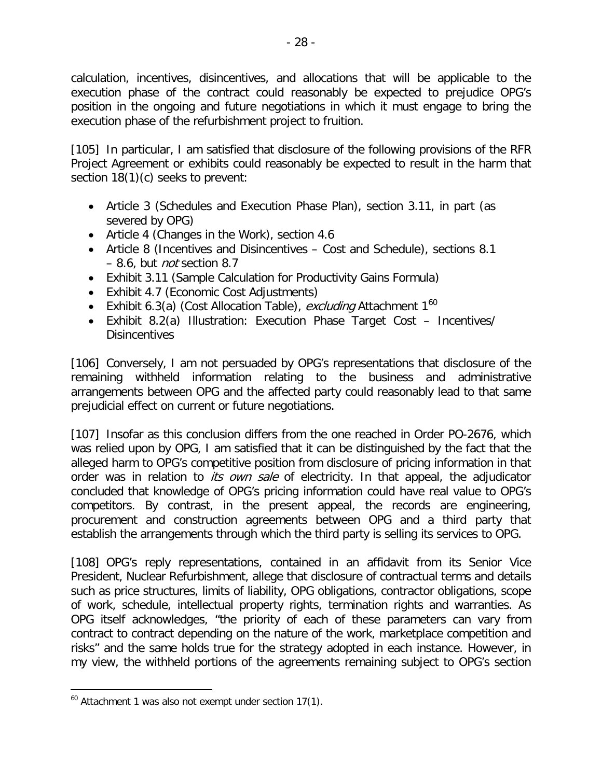calculation, incentives, disincentives, and allocations that will be applicable to the execution phase of the contract could reasonably be expected to prejudice OPG's position in the ongoing and future negotiations in which it must engage to bring the execution phase of the refurbishment project to fruition.

[105] In particular, I am satisfied that disclosure of the following provisions of the RFR Project Agreement or exhibits could reasonably be expected to result in the harm that section 18(1)(c) seeks to prevent:

- Article 3 (Schedules and Execution Phase Plan), section 3.11, in part (as severed by OPG)
- Article 4 (Changes in the Work), section 4.6
- Article 8 (Incentives and Disincentives Cost and Schedule), sections 8.1 – 8.6, but not section 8.7
- Exhibit 3.11 (Sample Calculation for Productivity Gains Formula)
- Exhibit 4.7 (Economic Cost Adjustments)
- Exhibit 6.3(a) (Cost Allocation Table), excluding Attachment  $1^{60}$  $1^{60}$  $1^{60}$
- Exhibit 8.2(a) Illustration: Execution Phase Target Cost Incentives/ **Disincentives**

[106] Conversely, I am not persuaded by OPG's representations that disclosure of the remaining withheld information relating to the business and administrative arrangements between OPG and the affected party could reasonably lead to that same prejudicial effect on current or future negotiations.

[107] Insofar as this conclusion differs from the one reached in Order PO-2676, which was relied upon by OPG, I am satisfied that it can be distinguished by the fact that the alleged harm to OPG's competitive position from disclosure of pricing information in that order was in relation to *its own sale* of electricity. In that appeal, the adjudicator concluded that knowledge of OPG's pricing information could have real value to OPG's competitors. By contrast, in the present appeal, the records are engineering, procurement and construction agreements between OPG and a third party that establish the arrangements through which the third party is selling its services to OPG.

[108] OPG's reply representations, contained in an affidavit from its Senior Vice President, Nuclear Refurbishment, allege that disclosure of contractual terms and details such as price structures, limits of liability, OPG obligations, contractor obligations, scope of work, schedule, intellectual property rights, termination rights and warranties. As OPG itself acknowledges, "the priority of each of these parameters can vary from contract to contract depending on the nature of the work, marketplace competition and risks" and the same holds true for the strategy adopted in each instance. However, in my view, the withheld portions of the agreements remaining subject to OPG's section

<span id="page-27-0"></span> $60$  Attachment 1 was also not exempt under section 17(1).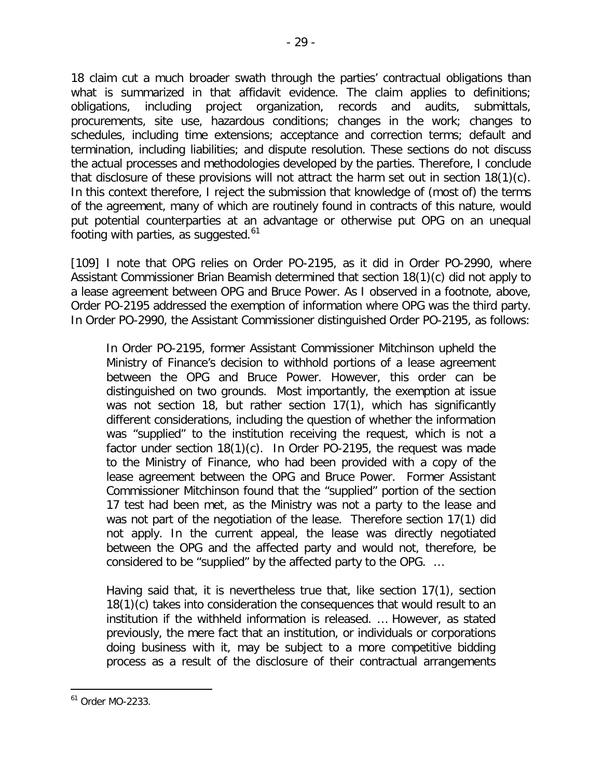18 claim cut a much broader swath through the parties' contractual obligations than what is summarized in that affidavit evidence. The claim applies to definitions; obligations, including project organization, records and audits, submittals, procurements, site use, hazardous conditions; changes in the work; changes to schedules, including time extensions; acceptance and correction terms; default and termination, including liabilities; and dispute resolution. These sections do not discuss the actual processes and methodologies developed by the parties. Therefore, I conclude that disclosure of these provisions will not attract the harm set out in section 18(1)(c). In this context therefore, I reject the submission that knowledge of (most of) the terms of the agreement, many of which are routinely found in contracts of this nature, would put potential counterparties at an advantage or otherwise put OPG on an unequal footing with parties, as suggested. $61$ 

[109] I note that OPG relies on Order PO-2195, as it did in Order PO-2990, where Assistant Commissioner Brian Beamish determined that section 18(1)(c) did not apply to a lease agreement between OPG and Bruce Power. As I observed in a footnote, above, Order PO-2195 addressed the exemption of information where OPG was the third party. In Order PO-2990, the Assistant Commissioner distinguished Order PO-2195, as follows:

In Order PO-2195, former Assistant Commissioner Mitchinson upheld the Ministry of Finance's decision to withhold portions of a lease agreement between the OPG and Bruce Power. However, this order can be distinguished on two grounds. Most importantly, the exemption at issue was not section 18, but rather section 17(1), which has significantly different considerations, including the question of whether the information was "supplied" to the institution receiving the request, which is not a factor under section 18(1)(c). In Order PO-2195, the request was made to the Ministry of Finance, who had been provided with a copy of the lease agreement between the OPG and Bruce Power. Former Assistant Commissioner Mitchinson found that the "supplied" portion of the section 17 test had been met, as the Ministry was not a party to the lease and was not part of the negotiation of the lease. Therefore section 17(1) did not apply. In the current appeal, the lease was directly negotiated between the OPG and the affected party and would not, therefore, be considered to be "supplied" by the affected party to the OPG. …

Having said that, it is nevertheless true that, like section 17(1), section 18(1)(c) takes into consideration the consequences that would result to an institution if the withheld information is released. … However, as stated previously, the mere fact that an institution, or individuals or corporations doing business with it, may be subject to a more competitive bidding process as a result of the disclosure of their contractual arrangements

<span id="page-28-0"></span><sup>61</sup> Order MO-2233.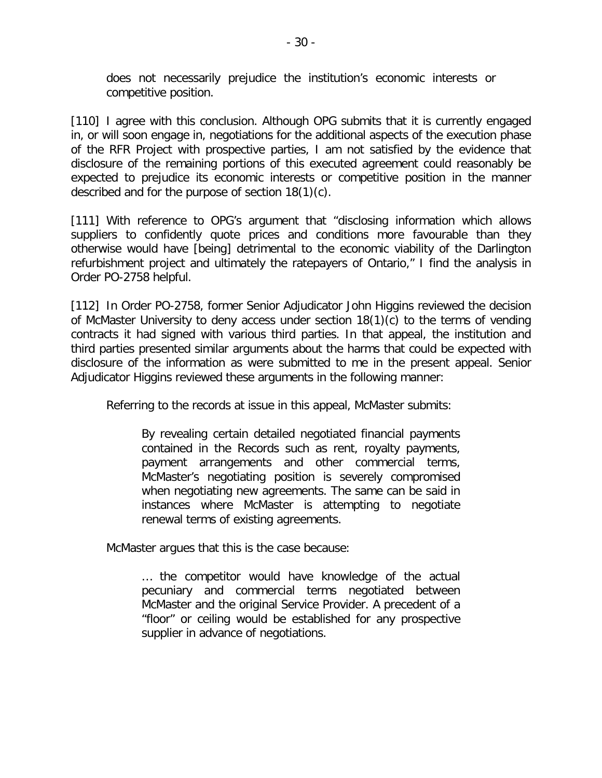does not necessarily prejudice the institution's economic interests or competitive position.

[110] I agree with this conclusion. Although OPG submits that it is currently engaged in, or will soon engage in, negotiations for the additional aspects of the execution phase of the RFR Project with prospective parties, I am not satisfied by the evidence that disclosure of the remaining portions of this executed agreement could reasonably be expected to prejudice its economic interests or competitive position in the manner described and for the purpose of section 18(1)(c).

[111] With reference to OPG's argument that "disclosing information which allows suppliers to confidently quote prices and conditions more favourable than they otherwise would have [being] detrimental to the economic viability of the Darlington refurbishment project and ultimately the ratepayers of Ontario," I find the analysis in Order PO-2758 helpful.

[112] In Order PO-2758, former Senior Adjudicator John Higgins reviewed the decision of McMaster University to deny access under section 18(1)(c) to the terms of vending contracts it had signed with various third parties. In that appeal, the institution and third parties presented similar arguments about the harms that could be expected with disclosure of the information as were submitted to me in the present appeal. Senior Adjudicator Higgins reviewed these arguments in the following manner:

Referring to the records at issue in this appeal, McMaster submits:

By revealing certain detailed negotiated financial payments contained in the Records such as rent, royalty payments, payment arrangements and other commercial terms, McMaster's negotiating position is severely compromised when negotiating new agreements. The same can be said in instances where McMaster is attempting to negotiate renewal terms of existing agreements.

McMaster argues that this is the case because:

… the competitor would have knowledge of the actual pecuniary and commercial terms negotiated between McMaster and the original Service Provider. A precedent of a "floor" or ceiling would be established for any prospective supplier in advance of negotiations.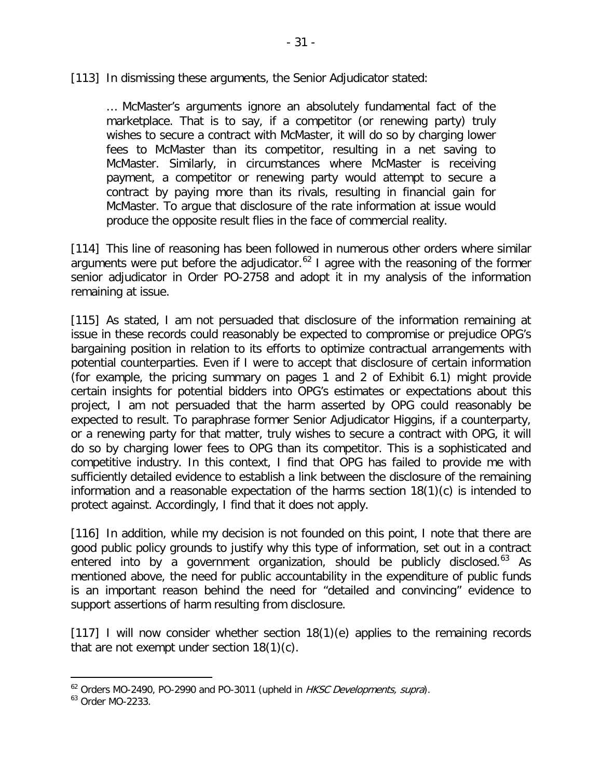[113] In dismissing these arguments, the Senior Adjudicator stated:

… McMaster's arguments ignore an absolutely fundamental fact of the marketplace. That is to say, if a competitor (or renewing party) truly wishes to secure a contract with McMaster, it will do so by charging lower fees to McMaster than its competitor, resulting in a net saving to McMaster. Similarly, in circumstances where McMaster is receiving payment, a competitor or renewing party would attempt to secure a contract by paying more than its rivals, resulting in financial gain for McMaster. To argue that disclosure of the rate information at issue would produce the opposite result flies in the face of commercial reality.

[114] This line of reasoning has been followed in numerous other orders where similar arguments were put before the adjudicator.<sup>[62](#page-30-0)</sup> I agree with the reasoning of the former senior adjudicator in Order PO-2758 and adopt it in my analysis of the information remaining at issue.

[115] As stated, I am not persuaded that disclosure of the information remaining at issue in these records could reasonably be expected to compromise or prejudice OPG's bargaining position in relation to its efforts to optimize contractual arrangements with potential counterparties. Even if I were to accept that disclosure of certain information (for example, the pricing summary on pages 1 and 2 of Exhibit 6.1) might provide certain insights for potential bidders into OPG's estimates or expectations about this project, I am not persuaded that the harm asserted by OPG could reasonably be expected to result. To paraphrase former Senior Adjudicator Higgins, if a counterparty, or a renewing party for that matter, truly wishes to secure a contract with OPG, it will do so by charging lower fees to OPG than its competitor. This is a sophisticated and competitive industry. In this context, I find that OPG has failed to provide me with sufficiently detailed evidence to establish a link between the disclosure of the remaining information and a reasonable expectation of the harms section 18(1)(c) is intended to protect against. Accordingly, I find that it does not apply.

[116] In addition, while my decision is not founded on this point, I note that there are good public policy grounds to justify why this type of information, set out in a contract entered into by a government organization, should be publicly disclosed.<sup>[63](#page-30-1)</sup> As mentioned above, the need for public accountability in the expenditure of public funds is an important reason behind the need for "detailed and convincing" evidence to support assertions of harm resulting from disclosure.

[117] I will now consider whether section 18(1)(e) applies to the remaining records that are not exempt under section 18(1)(c).

<span id="page-30-0"></span> $62$  Orders MO-2490, PO-2990 and PO-3011 (upheld in HKSC Developments, supra).

<span id="page-30-1"></span><sup>63</sup> Order MO-2233.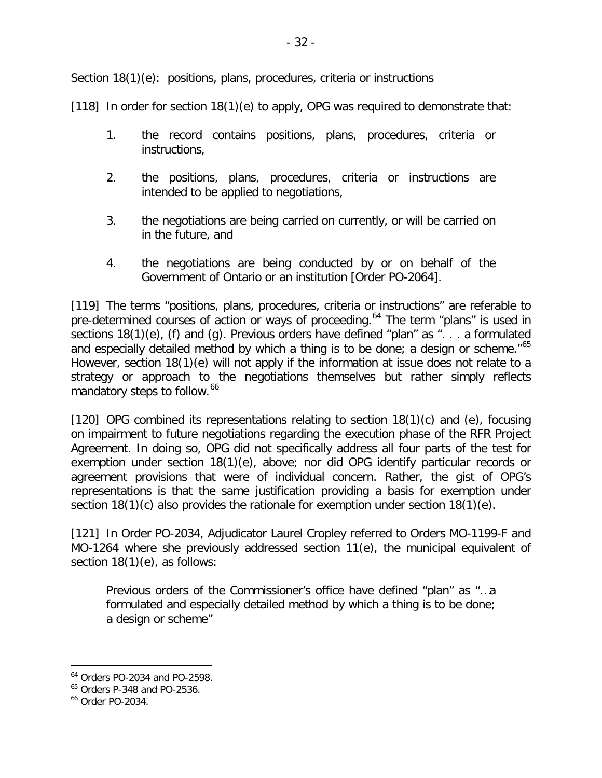Section 18(1)(e): positions, plans, procedures, criteria or instructions

[118] In order for section 18(1)(e) to apply, OPG was required to demonstrate that:

- 1. the record contains positions, plans, procedures, criteria or instructions,
- 2. the positions, plans, procedures, criteria or instructions are intended to be applied to negotiations,
- 3. the negotiations are being carried on currently, or will be carried on in the future, and
- 4. the negotiations are being conducted by or on behalf of the Government of Ontario or an institution [Order PO-2064].

[119] The terms "positions, plans, procedures, criteria or instructions" are referable to pre-determined courses of action or ways of proceeding.<sup>[64](#page-31-0)</sup> The term "plans" is used in sections 18(1)(e), (f) and (g). Previous orders have defined "plan" as ". . . a formulated and especially detailed method by which a thing is to be done; a design or scheme."<sup>[65](#page-31-1)</sup> However, section 18(1)(e) will not apply if the information at issue does not relate to a strategy or approach to the negotiations themselves but rather simply reflects mandatory steps to follow.<sup>[66](#page-31-2)</sup>

[120] OPG combined its representations relating to section 18(1)(c) and (e), focusing on impairment to future negotiations regarding the execution phase of the RFR Project Agreement. In doing so, OPG did not specifically address all four parts of the test for exemption under section 18(1)(e), above; nor did OPG identify particular records or agreement provisions that were of individual concern. Rather, the gist of OPG's representations is that the same justification providing a basis for exemption under section 18(1)(c) also provides the rationale for exemption under section 18(1)(e).

[121] In Order PO-2034, Adjudicator Laurel Cropley referred to Orders MO-1199-F and MO-1264 where she previously addressed section 11(e), the municipal equivalent of section 18(1)(e), as follows:

Previous orders of the Commissioner's office have defined "plan" as "…a formulated and especially detailed method by which a thing is to be done; a design or scheme"

<span id="page-31-0"></span><sup>64</sup> Orders PO-2034 and PO-2598.

<span id="page-31-1"></span><sup>65</sup> Orders P-348 and PO-2536.

<span id="page-31-2"></span><sup>66</sup> Order PO-2034.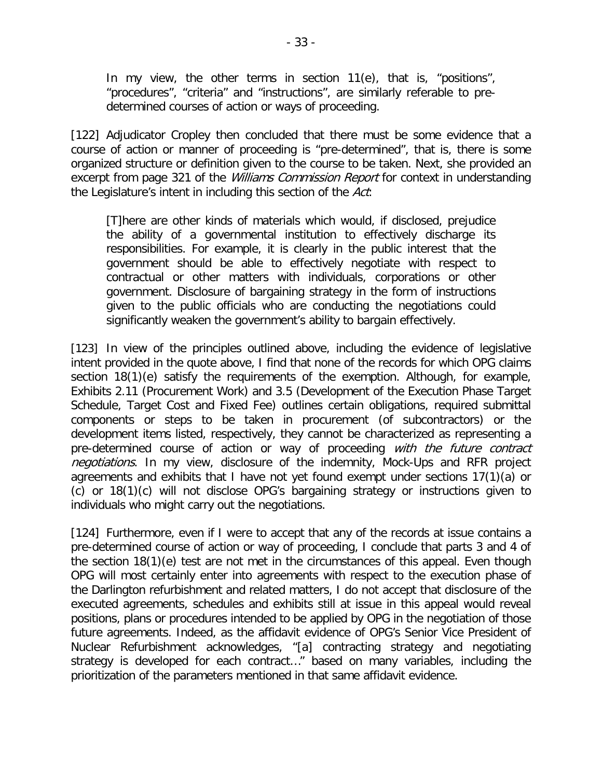In my view, the other terms in section 11(e), that is, "positions", "procedures", "criteria" and "instructions", are similarly referable to predetermined courses of action or ways of proceeding.

[122] Adjudicator Cropley then concluded that there must be some evidence that a course of action or manner of proceeding is "pre-determined", that is, there is some organized structure or definition given to the course to be taken. Next, she provided an excerpt from page 321 of the *Williams Commission Report* for context in understanding the Legislature's intent in including this section of the Act:

[T]here are other kinds of materials which would, if disclosed, prejudice the ability of a governmental institution to effectively discharge its responsibilities. For example, it is clearly in the public interest that the government should be able to effectively negotiate with respect to contractual or other matters with individuals, corporations or other government. Disclosure of bargaining strategy in the form of instructions given to the public officials who are conducting the negotiations could significantly weaken the government's ability to bargain effectively.

[123] In view of the principles outlined above, including the evidence of legislative intent provided in the quote above, I find that none of the records for which OPG claims section 18(1)(e) satisfy the requirements of the exemption. Although, for example, Exhibits 2.11 (Procurement Work) and 3.5 (Development of the Execution Phase Target Schedule, Target Cost and Fixed Fee) outlines certain obligations, required submittal components or steps to be taken in procurement (of subcontractors) or the development items listed, respectively, they cannot be characterized as representing a pre-determined course of action or way of proceeding with the future contract negotiations. In my view, disclosure of the indemnity, Mock-Ups and RFR project agreements and exhibits that I have not yet found exempt under sections 17(1)(a) or (c) or 18(1)(c) will not disclose OPG's bargaining strategy or instructions given to individuals who might carry out the negotiations.

[124] Furthermore, even if I were to accept that any of the records at issue contains a pre-determined course of action or way of proceeding, I conclude that parts 3 and 4 of the section 18(1)(e) test are not met in the circumstances of this appeal. Even though OPG will most certainly enter into agreements with respect to the execution phase of the Darlington refurbishment and related matters, I do not accept that disclosure of the executed agreements, schedules and exhibits still at issue in this appeal would reveal positions, plans or procedures intended to be applied by OPG in the negotiation of those future agreements. Indeed, as the affidavit evidence of OPG's Senior Vice President of Nuclear Refurbishment acknowledges, "[a] contracting strategy and negotiating strategy is developed for each contract…" based on many variables, including the prioritization of the parameters mentioned in that same affidavit evidence.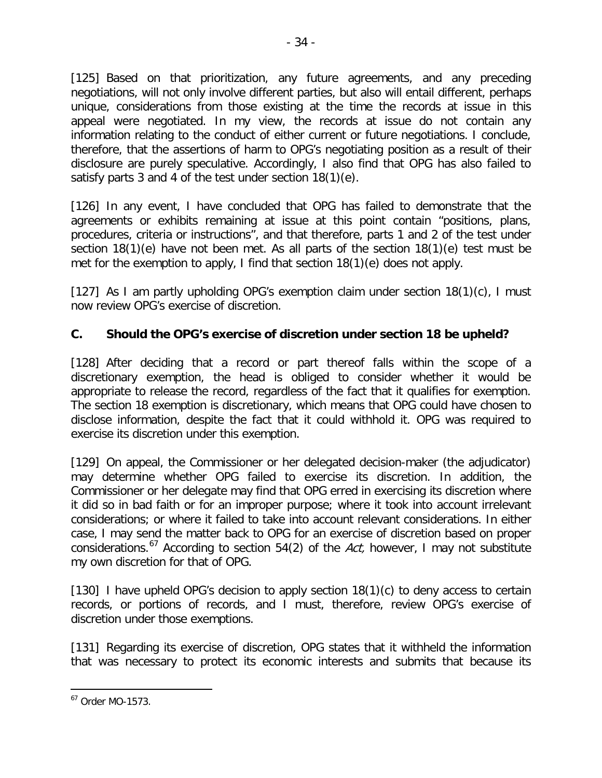[125] Based on that prioritization, any future agreements, and any preceding negotiations, will not only involve different parties, but also will entail different, perhaps unique, considerations from those existing at the time the records at issue in this appeal were negotiated. In my view, the records at issue do not contain any information relating to the conduct of either current or future negotiations. I conclude, therefore, that the assertions of harm to OPG's negotiating position as a result of their disclosure are purely speculative. Accordingly, I also find that OPG has also failed to satisfy parts 3 and 4 of the test under section 18(1)(e).

[126] In any event, I have concluded that OPG has failed to demonstrate that the agreements or exhibits remaining at issue at this point contain "positions, plans, procedures, criteria or instructions", and that therefore, parts 1 and 2 of the test under section 18(1)(e) have not been met. As all parts of the section 18(1)(e) test must be met for the exemption to apply, I find that section 18(1)(e) does not apply.

[127] As I am partly upholding OPG's exemption claim under section 18(1)(c), I must now review OPG's exercise of discretion.

## **C. Should the OPG's exercise of discretion under section 18 be upheld?**

[128] After deciding that a record or part thereof falls within the scope of a discretionary exemption, the head is obliged to consider whether it would be appropriate to release the record, regardless of the fact that it qualifies for exemption. The section 18 exemption is discretionary, which means that OPG could have chosen to disclose information, despite the fact that it could withhold it. OPG was required to exercise its discretion under this exemption.

[129] On appeal, the Commissioner or her delegated decision-maker (the adjudicator) may determine whether OPG failed to exercise its discretion. In addition, the Commissioner or her delegate may find that OPG erred in exercising its discretion where it did so in bad faith or for an improper purpose; where it took into account irrelevant considerations; or where it failed to take into account relevant considerations. In either case, I may send the matter back to OPG for an exercise of discretion based on proper considerations.<sup>[67](#page-33-0)</sup> According to section 54(2) of the Act, however, I may not substitute my own discretion for that of OPG.

[130] I have upheld OPG's decision to apply section 18(1)(c) to deny access to certain records, or portions of records, and I must, therefore, review OPG's exercise of discretion under those exemptions.

[131] Regarding its exercise of discretion, OPG states that it withheld the information that was necessary to protect its economic interests and submits that because its

<span id="page-33-0"></span><sup>67</sup> Order MO-1573.  $\overline{a}$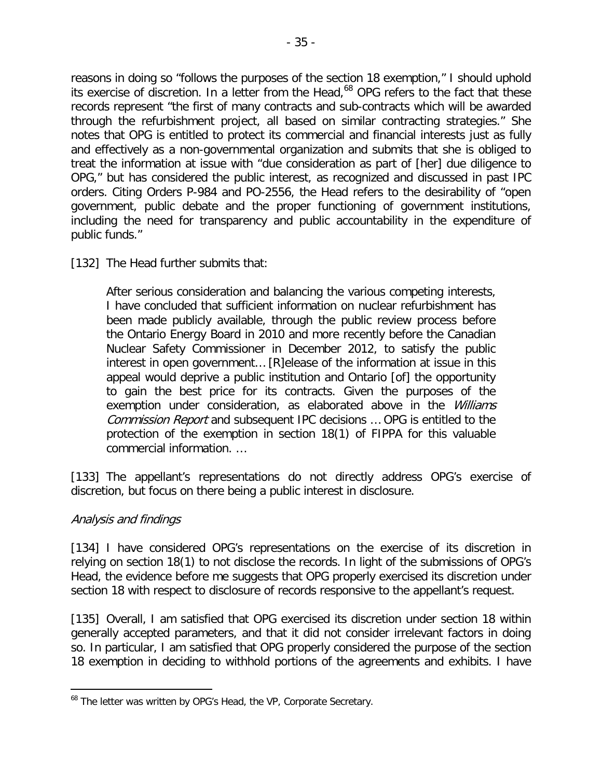reasons in doing so "follows the purposes of the section 18 exemption," I should uphold its exercise of discretion. In a letter from the Head,<sup>[68](#page-34-0)</sup> OPG refers to the fact that these records represent "the first of many contracts and sub-contracts which will be awarded through the refurbishment project, all based on similar contracting strategies." She notes that OPG is entitled to protect its commercial and financial interests just as fully and effectively as a non-governmental organization and submits that she is obliged to treat the information at issue with "due consideration as part of [her] due diligence to OPG," but has considered the public interest, as recognized and discussed in past IPC orders. Citing Orders P-984 and PO-2556, the Head refers to the desirability of "open government, public debate and the proper functioning of government institutions, including the need for transparency and public accountability in the expenditure of public funds."

#### [132] The Head further submits that:

After serious consideration and balancing the various competing interests, I have concluded that sufficient information on nuclear refurbishment has been made publicly available, through the public review process before the Ontario Energy Board in 2010 and more recently before the Canadian Nuclear Safety Commissioner in December 2012, to satisfy the public interest in open government… [R]elease of the information at issue in this appeal would deprive a public institution and Ontario [of] the opportunity to gain the best price for its contracts. Given the purposes of the exemption under consideration, as elaborated above in the *Williams* Commission Report and subsequent IPC decisions … OPG is entitled to the protection of the exemption in section 18(1) of FIPPA for this valuable commercial information. …

[133] The appellant's representations do not directly address OPG's exercise of discretion, but focus on there being a public interest in disclosure.

#### Analysis and findings

 $\overline{a}$ 

[134] I have considered OPG's representations on the exercise of its discretion in relying on section 18(1) to not disclose the records. In light of the submissions of OPG's Head, the evidence before me suggests that OPG properly exercised its discretion under section 18 with respect to disclosure of records responsive to the appellant's request.

[135] Overall, I am satisfied that OPG exercised its discretion under section 18 within generally accepted parameters, and that it did not consider irrelevant factors in doing so. In particular, I am satisfied that OPG properly considered the purpose of the section 18 exemption in deciding to withhold portions of the agreements and exhibits. I have

<span id="page-34-0"></span><sup>&</sup>lt;sup>68</sup> The letter was written by OPG's Head, the VP, Corporate Secretary.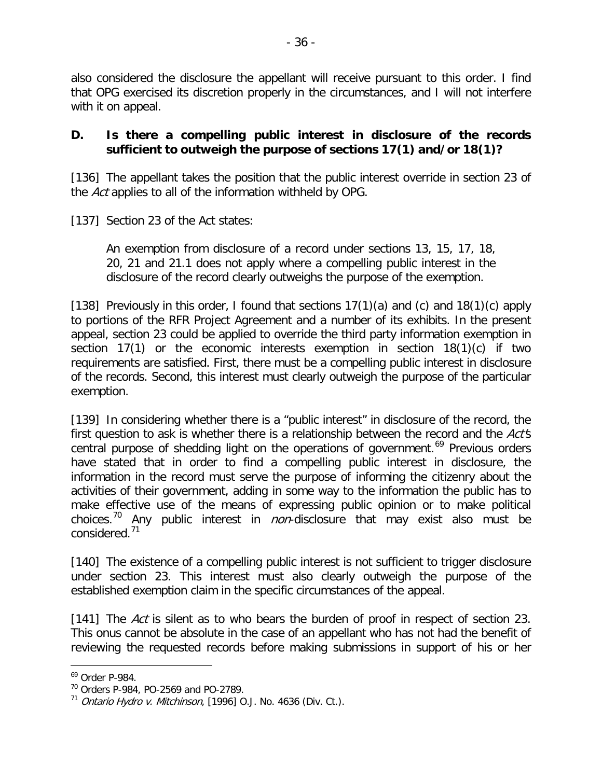also considered the disclosure the appellant will receive pursuant to this order. I find that OPG exercised its discretion properly in the circumstances, and I will not interfere with it on appeal.

#### **D. Is there a compelling public interest in disclosure of the records sufficient to outweigh the purpose of sections 17(1) and/or 18(1)?**

[136] The appellant takes the position that the public interest override in section 23 of the Act applies to all of the information withheld by OPG.

[137] Section 23 of the Act states:

An exemption from disclosure of a record under sections 13, 15, 17, 18, 20, 21 and 21.1 does not apply where a compelling public interest in the disclosure of the record clearly outweighs the purpose of the exemption.

[138] Previously in this order, I found that sections  $17(1)(a)$  and  $(c)$  and  $18(1)(c)$  apply to portions of the RFR Project Agreement and a number of its exhibits. In the present appeal, section 23 could be applied to override the third party information exemption in section 17(1) or the economic interests exemption in section 18(1)(c) if two requirements are satisfied. First, there must be a compelling public interest in disclosure of the records. Second, this interest must clearly outweigh the purpose of the particular exemption.

[139] In considering whether there is a "public interest" in disclosure of the record, the first question to ask is whether there is a relationship between the record and the Act's central purpose of shedding light on the operations of government.<sup>[69](#page-35-0)</sup> Previous orders have stated that in order to find a compelling public interest in disclosure, the information in the record must serve the purpose of informing the citizenry about the activities of their government, adding in some way to the information the public has to make effective use of the means of expressing public opinion or to make political choices.<sup>[70](#page-35-1)</sup> Any public interest in *non*-disclosure that may exist also must be considered.[71](#page-35-2)

[140] The existence of a compelling public interest is not sufficient to trigger disclosure under section 23. This interest must also clearly outweigh the purpose of the established exemption claim in the specific circumstances of the appeal.

[141] The Act is silent as to who bears the burden of proof in respect of section 23. This onus cannot be absolute in the case of an appellant who has not had the benefit of reviewing the requested records before making submissions in support of his or her

<span id="page-35-0"></span><sup>69</sup> Order P-984.  $\overline{a}$ 

<span id="page-35-1"></span><sup>70</sup> Orders P-984, PO-2569 and PO-2789.

<span id="page-35-2"></span> $71$  Ontario Hydro v. Mitchinson, [1996] O.J. No. 4636 (Div. Ct.).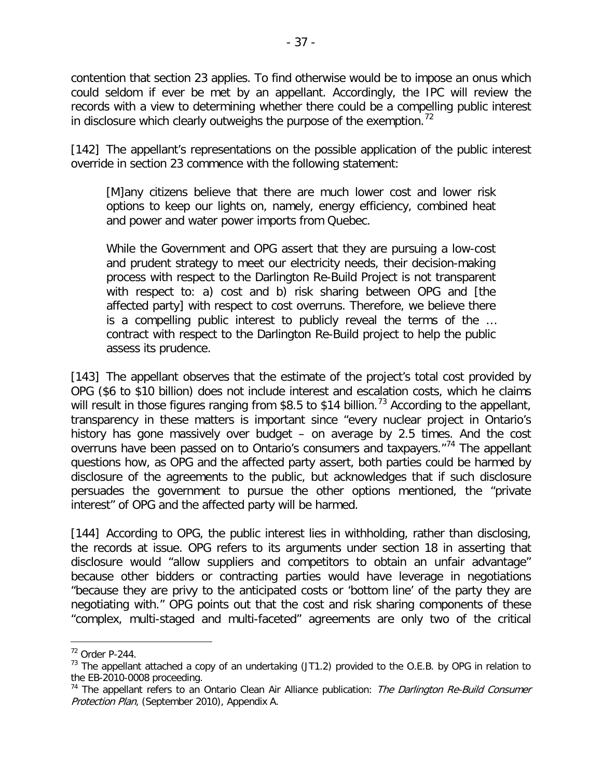contention that section 23 applies. To find otherwise would be to impose an onus which could seldom if ever be met by an appellant. Accordingly, the IPC will review the records with a view to determining whether there could be a compelling public interest in disclosure which clearly outweighs the purpose of the exemption.<sup>[72](#page-36-0)</sup>

[142] The appellant's representations on the possible application of the public interest override in section 23 commence with the following statement:

[M]any citizens believe that there are much lower cost and lower risk options to keep our lights on, namely, energy efficiency, combined heat and power and water power imports from Quebec.

While the Government and OPG assert that they are pursuing a low-cost and prudent strategy to meet our electricity needs, their decision-making process with respect to the Darlington Re-Build Project is not transparent with respect to: a) cost and b) risk sharing between OPG and [the affected party] with respect to cost overruns. Therefore, we believe there is a compelling public interest to publicly reveal the terms of the … contract with respect to the Darlington Re-Build project to help the public assess its prudence.

[143] The appellant observes that the estimate of the project's total cost provided by OPG (\$6 to \$10 billion) does not include interest and escalation costs, which he claims will result in those figures ranging from \$8.5 to \$14 billion.<sup>[73](#page-36-1)</sup> According to the appellant, transparency in these matters is important since "every nuclear project in Ontario's history has gone massively over budget – on average by 2.5 times. And the cost overruns have been passed on to Ontario's consumers and taxpayers."[74](#page-36-2) The appellant questions how, as OPG and the affected party assert, both parties could be harmed by disclosure of the agreements to the public, but acknowledges that if such disclosure persuades the government to pursue the other options mentioned, the "private interest" of OPG and the affected party will be harmed.

[144] According to OPG, the public interest lies in withholding, rather than disclosing, the records at issue. OPG refers to its arguments under section 18 in asserting that disclosure would "allow suppliers and competitors to obtain an unfair advantage" because other bidders or contracting parties would have leverage in negotiations "because they are privy to the anticipated costs or 'bottom line' of the party they are negotiating with." OPG points out that the cost and risk sharing components of these "complex, multi-staged and multi-faceted" agreements are only two of the critical

<span id="page-36-0"></span><sup>72</sup> Order P-244.

<span id="page-36-1"></span><sup>&</sup>lt;sup>73</sup> The appellant attached a copy of an undertaking (JT1.2) provided to the O.E.B. by OPG in relation to the EB-2010-0008 proceeding.

<span id="page-36-2"></span> $74$  The appellant refers to an Ontario Clean Air Alliance publication: The Darlington Re-Build Consumer Protection Plan, (September 2010), Appendix A.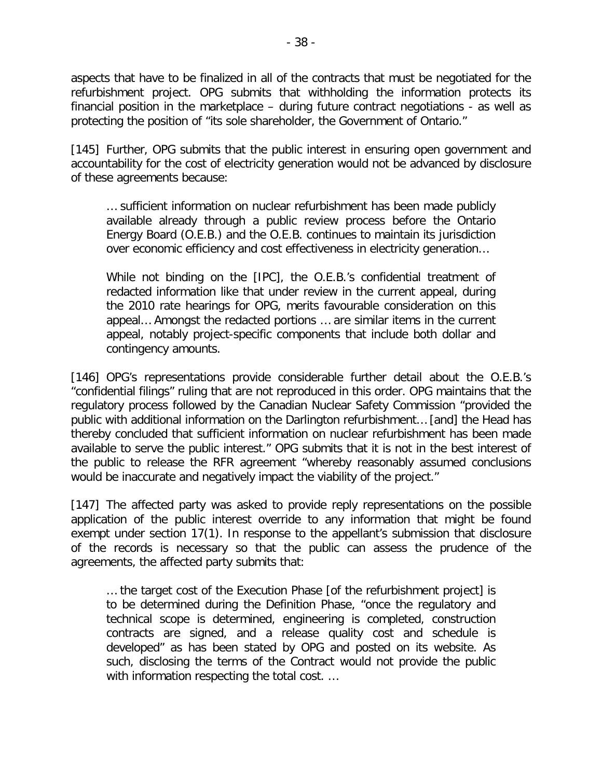aspects that have to be finalized in all of the contracts that must be negotiated for the refurbishment project. OPG submits that withholding the information protects its financial position in the marketplace – during future contract negotiations - as well as protecting the position of "its sole shareholder, the Government of Ontario."

[145] Further, OPG submits that the public interest in ensuring open government and accountability for the cost of electricity generation would not be advanced by disclosure of these agreements because:

… sufficient information on nuclear refurbishment has been made publicly available already through a public review process before the Ontario Energy Board (O.E.B.) and the O.E.B. continues to maintain its jurisdiction over economic efficiency and cost effectiveness in electricity generation…

While not binding on the [IPC], the O.E.B.'s confidential treatment of redacted information like that under review in the current appeal, during the 2010 rate hearings for OPG, merits favourable consideration on this appeal… Amongst the redacted portions … are similar items in the current appeal, notably project-specific components that include both dollar and contingency amounts.

[146] OPG's representations provide considerable further detail about the O.E.B.'s "confidential filings" ruling that are not reproduced in this order. OPG maintains that the regulatory process followed by the Canadian Nuclear Safety Commission "provided the public with additional information on the Darlington refurbishment… [and] the Head has thereby concluded that sufficient information on nuclear refurbishment has been made available to serve the public interest." OPG submits that it is not in the best interest of the public to release the RFR agreement "whereby reasonably assumed conclusions would be inaccurate and negatively impact the viability of the project."

[147] The affected party was asked to provide reply representations on the possible application of the public interest override to any information that might be found exempt under section 17(1). In response to the appellant's submission that disclosure of the records is necessary so that the public can assess the prudence of the agreements, the affected party submits that:

… the target cost of the Execution Phase [of the refurbishment project] is to be determined during the Definition Phase, "once the regulatory and technical scope is determined, engineering is completed, construction contracts are signed, and a release quality cost and schedule is developed" as has been stated by OPG and posted on its website. As such, disclosing the terms of the Contract would not provide the public with information respecting the total cost. ...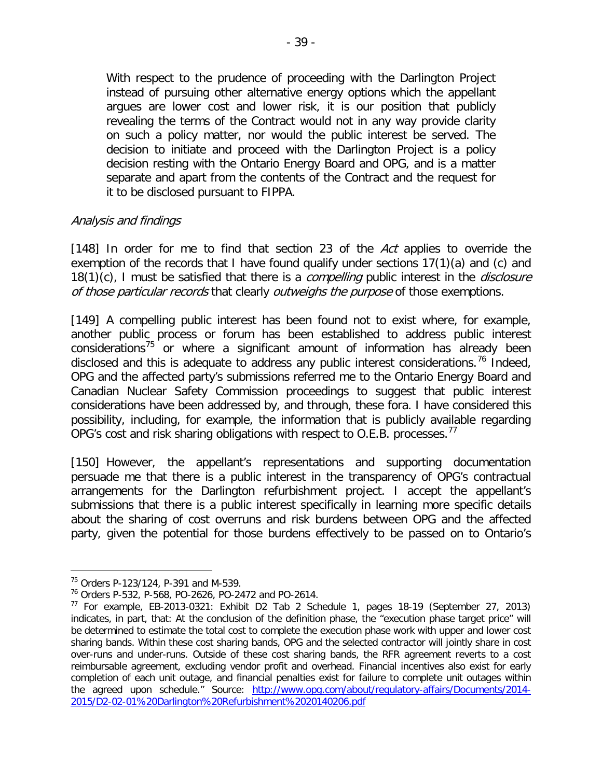With respect to the prudence of proceeding with the Darlington Project instead of pursuing other alternative energy options which the appellant argues are lower cost and lower risk, it is our position that publicly revealing the terms of the Contract would not in any way provide clarity on such a policy matter, nor would the public interest be served. The decision to initiate and proceed with the Darlington Project is a policy decision resting with the Ontario Energy Board and OPG, and is a matter separate and apart from the contents of the Contract and the request for it to be disclosed pursuant to FIPPA.

#### Analysis and findings

[148] In order for me to find that section 23 of the Act applies to override the exemption of the records that I have found qualify under sections 17(1)(a) and (c) and 18(1)(c), I must be satisfied that there is a *compelling* public interest in the *disclosure* of those particular records that clearly outweighs the purpose of those exemptions.

[149] A compelling public interest has been found not to exist where, for example, another public process or forum has been established to address public interest considerations $75$  or where a significant amount of information has already been disclosed and this is adequate to address any public interest considerations.<sup>[76](#page-38-1)</sup> Indeed, OPG and the affected party's submissions referred me to the Ontario Energy Board and Canadian Nuclear Safety Commission proceedings to suggest that public interest considerations have been addressed by, and through, these fora. I have considered this possibility, including, for example, the information that is publicly available regarding OPG's cost and risk sharing obligations with respect to O.E.B. processes.<sup>[77](#page-38-2)</sup>

[150] However, the appellant's representations and supporting documentation persuade me that there is a public interest in the transparency of OPG's contractual arrangements for the Darlington refurbishment project. I accept the appellant's submissions that there is a public interest specifically in learning more specific details about the sharing of cost overruns and risk burdens between OPG and the affected party, given the potential for those burdens effectively to be passed on to Ontario's

<span id="page-38-0"></span><sup>75</sup> Orders P-123/124, P-391 and M-539.

<span id="page-38-1"></span><sup>76</sup> Orders P-532, P-568, PO-2626, PO-2472 and PO-2614.

<span id="page-38-2"></span><sup>77</sup> For example, EB-2013-0321: Exhibit D2 Tab 2 Schedule 1, pages 18-19 (September 27, 2013) indicates, in part, that: At the conclusion of the definition phase, the "execution phase target price" will be determined to estimate the total cost to complete the execution phase work with upper and lower cost sharing bands. Within these cost sharing bands, OPG and the selected contractor will jointly share in cost over-runs and under-runs. Outside of these cost sharing bands, the RFR agreement reverts to a cost reimbursable agreement, excluding vendor profit and overhead. Financial incentives also exist for early completion of each unit outage, and financial penalties exist for failure to complete unit outages within the agreed upon schedule." Source: [http://www.opg.com/about/regulatory-affairs/Documents/2014-](http://www.opg.com/about/regulatory-affairs/Documents/2014-2015/D2-02-01%20Darlington%20Refurbishment%2020140206.pdf) [2015/D2-02-01%20Darlington%20Refurbishment%2020140206.pdf](http://www.opg.com/about/regulatory-affairs/Documents/2014-2015/D2-02-01%20Darlington%20Refurbishment%2020140206.pdf)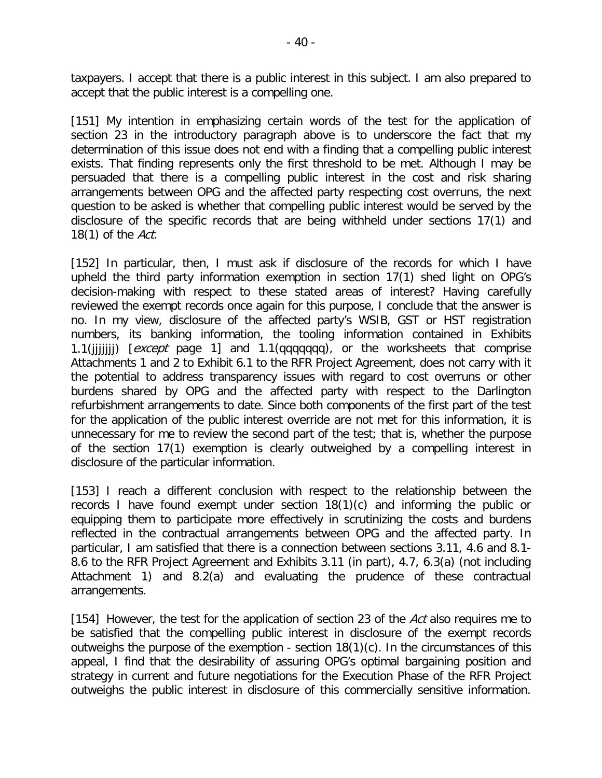taxpayers. I accept that there is a public interest in this subject. I am also prepared to accept that the public interest is a compelling one.

[151] My intention in emphasizing certain words of the test for the application of section 23 in the introductory paragraph above is to underscore the fact that my determination of this issue does not end with a finding that a compelling public interest exists. That finding represents only the first threshold to be met. Although I may be persuaded that there is a compelling public interest in the cost and risk sharing arrangements between OPG and the affected party respecting cost overruns, the next question to be asked is whether that compelling public interest would be served by the disclosure of the specific records that are being withheld under sections 17(1) and 18(1) of the Act.

[152] In particular, then, I must ask if disclosure of the records for which I have upheld the third party information exemption in section 17(1) shed light on OPG's decision-making with respect to these stated areas of interest? Having carefully reviewed the exempt records once again for this purpose, I conclude that the answer is no. In my view, disclosure of the affected party's WSIB, GST or HST registration numbers, its banking information, the tooling information contained in Exhibits 1.1(iiiiiii)  $[except\ page\ 1]$  and 1.1(qqqqqqq), or the worksheets that comprise Attachments 1 and 2 to Exhibit 6.1 to the RFR Project Agreement, does not carry with it the potential to address transparency issues with regard to cost overruns or other burdens shared by OPG and the affected party with respect to the Darlington refurbishment arrangements to date. Since both components of the first part of the test for the application of the public interest override are not met for this information, it is unnecessary for me to review the second part of the test; that is, whether the purpose of the section 17(1) exemption is clearly outweighed by a compelling interest in disclosure of the particular information.

[153] I reach a different conclusion with respect to the relationship between the records I have found exempt under section 18(1)(c) and informing the public or equipping them to participate more effectively in scrutinizing the costs and burdens reflected in the contractual arrangements between OPG and the affected party. In particular, I am satisfied that there is a connection between sections 3.11, 4.6 and 8.1- 8.6 to the RFR Project Agreement and Exhibits 3.11 (in part), 4.7, 6.3(a) (not including Attachment 1) and 8.2(a) and evaluating the prudence of these contractual arrangements.

[154] However, the test for the application of section 23 of the Act also requires me to be satisfied that the compelling public interest in disclosure of the exempt records outweighs the purpose of the exemption - section 18(1)(c). In the circumstances of this appeal, I find that the desirability of assuring OPG's optimal bargaining position and strategy in current and future negotiations for the Execution Phase of the RFR Project outweighs the public interest in disclosure of this commercially sensitive information.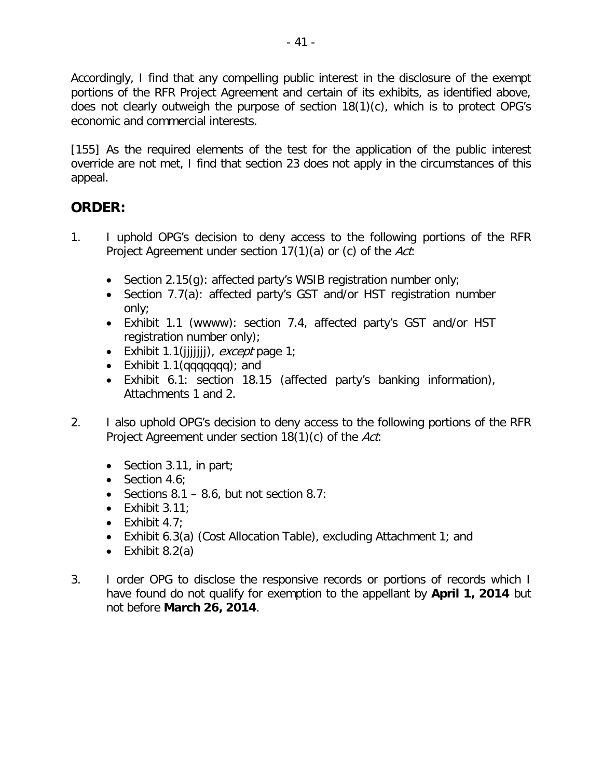Accordingly, I find that any compelling public interest in the disclosure of the exempt portions of the RFR Project Agreement and certain of its exhibits, as identified above, does not clearly outweigh the purpose of section 18(1)(c), which is to protect OPG's economic and commercial interests.

[155] As the required elements of the test for the application of the public interest override are not met, I find that section 23 does not apply in the circumstances of this appeal.

## **ORDER:**

- 1. I uphold OPG's decision to deny access to the following portions of the RFR Project Agreement under section 17(1)(a) or (c) of the Act:
	- Section 2.15(g): affected party's WSIB registration number only;
	- Section 7.7(a): affected party's GST and/or HST registration number only;
	- Exhibit 1.1 (wwww): section 7.4, affected party's GST and/or HST registration number only);
	- Exhibit 1.1( $(iiiii)$ , *except* page 1;
	- Exhibit 1.1(qqqqqqqq); and
	- Exhibit 6.1: section 18.15 (affected party's banking information), Attachments 1 and 2.
- 2. I also uphold OPG's decision to deny access to the following portions of the RFR Project Agreement under section 18(1)(c) of the Act.
	- Section 3.11, in part;
	- Section 4.6:
	- Sections  $8.1 8.6$ , but not section  $8.7$ :
	- $\bullet$  Exhibit 3.11;
	- Exhibit  $4.7$ ;
	- Exhibit 6.3(a) (Cost Allocation Table), excluding Attachment 1; and
	- Exhibit  $8.2(a)$
- 3. I order OPG to disclose the responsive records or portions of records which I have found do not qualify for exemption to the appellant by **April 1, 2014** but not before **March 26, 2014**.